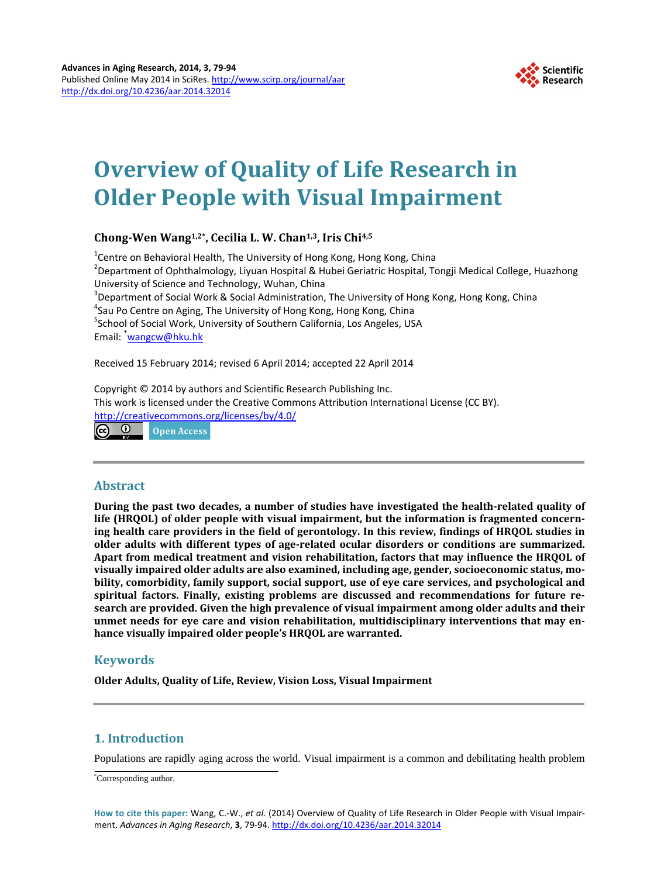

# **Overview of Quality of Life Research in Older People with Visual Impairment**

# **Chong-Wen Wang1,2\*, Cecilia L. W. Chan1,3, Iris Chi4,5**

<sup>1</sup>Centre on Behavioral Health, The University of Hong Kong, Hong Kong, China<br><sup>2</sup>Department of Ophthalmology, Livuan Hospital & Hubei Geriatric Hospital, T <sup>2</sup> Department of Ophthalmology, Liyuan Hospital & Hubei Geriatric Hospital, Tongji Medical College, Huazhong University of Science and Technology, Wuhan, China <sup>3</sup>  $3$ Department of Social Work & Social Administration, The University of Hong Kong, Hong Kong, China <sup>4</sup> Sau Po Centre on Aging, The University of Hong Kong, Hong Kong, China <sup>5</sup> School of Social Work, University of Southern California, Los Angeles, USA Email: <sup>\*</sup>[wangcw@hku.hk](mailto:wangcw@hku.hk)

Received 15 February 2014; revised 6 April 2014; accepted 22 April 2014

Copyright © 2014 by authors and Scientific Research Publishing Inc. This work is licensed under the Creative Commons Attribution International License (CC BY). <http://creativecommons.org/licenses/by/4.0/>

 $\odot$   $\odot$ **Open Access** 

# **Abstract**

**During the past two decades, a number of studies have investigated the health-related quality of life (HRQOL) of older people with visual impairment, but the information is fragmented concerning health care providers in the field of gerontology. In this review, findings of HRQOL studies in older adults with different types of age-related ocular disorders or conditions are summarized. Apart from medical treatment and vision rehabilitation, factors that may influence the HRQOL of visually impaired older adults are also examined, including age, gender, socioeconomic status, mobility, comorbidity, family support, social support, use of eye care services, and psychological and spiritual factors. Finally, existing problems are discussed and recommendations for future research are provided. Given the high prevalence of visual impairment among older adults and their unmet needs for eye care and vision rehabilitation, multidisciplinary interventions that may enhance visually impaired older people's HRQOL are warranted.**

# **Keywords**

**Older Adults, Quality of Life, Review, Vision Loss, Visual Impairment**

# **1. Introduction**

Populations are rapidly aging across the world. Visual impairment is a common and debilitating health problem

\* Corresponding author.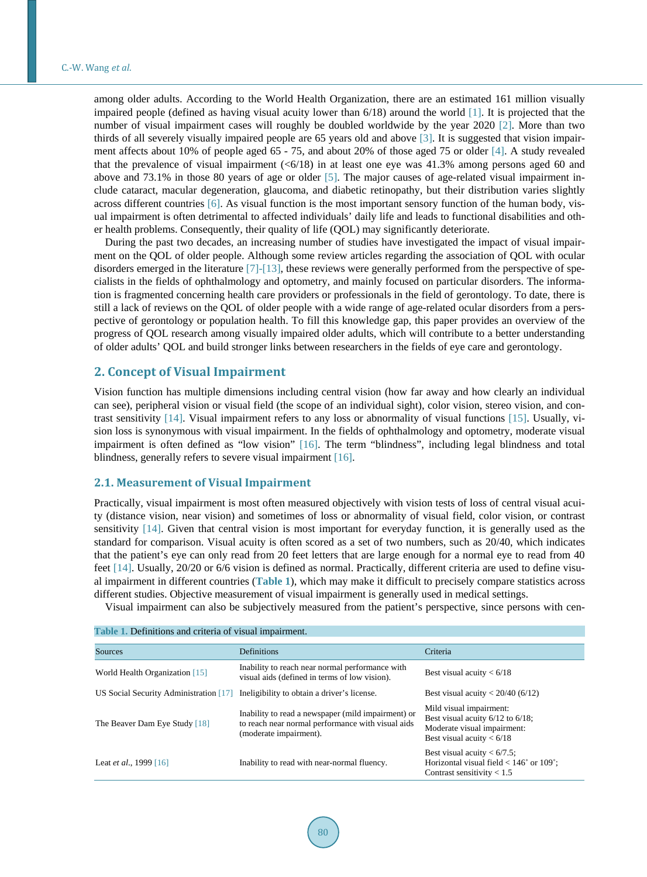among older adults. According to the World Health Organization, there are an estimated 161 million visually impaired people (defined as having visual acuity lower than 6/18) around the world [\[1\].](#page-9-0) It is projected that the number of visual impairment cases will roughly be doubled worldwide by the year 2020 [\[2\].](#page-9-1) More than two thirds of all severely visually impaired people are 65 years old and above [\[3\].](#page-9-2) It is suggested that vision impairment affects about 10% of people aged 65 - 75, and about 20% of those aged 75 or older [\[4\].](#page-9-3) A study revealed that the prevalence of visual impairment  $\langle \langle 6/18 \rangle$  in at least one eye was 41.3% among persons aged 60 and above and 73.1% in those 80 years of age or older [\[5\].](#page-9-4) The major causes of age-related visual impairment include cataract, macular degeneration, glaucoma, and diabetic retinopathy, but their distribution varies slightly across different countries [\[6\].](#page-9-5) As visual function is the most important sensory function of the human body, visual impairment is often detrimental to affected individuals' daily life and leads to functional disabilities and other health problems. Consequently, their quality of life (QOL) may significantly deteriorate.

During the past two decades, an increasing number of studies have investigated the impact of visual impairment on the QOL of older people. Although some review articles regarding the association of QOL with ocular disorders emerged in the literature [\[7\]](#page-9-6)[-\[13\],](#page-9-7) these reviews were generally performed from the perspective of specialists in the fields of ophthalmology and optometry, and mainly focused on particular disorders. The information is fragmented concerning health care providers or professionals in the field of gerontology. To date, there is still a lack of reviews on the QOL of older people with a wide range of age-related ocular disorders from a perspective of gerontology or population health. To fill this knowledge gap, this paper provides an overview of the progress of QOL research among visually impaired older adults, which will contribute to a better understanding of older adults' QOL and build stronger links between researchers in the fields of eye care and gerontology.

# **2. Concept of Visual Impairment**

Vision function has multiple dimensions including central vision (how far away and how clearly an individual can see), peripheral vision or visual field (the scope of an individual sight), color vision, stereo vision, and contrast sensitivity [\[14\].](#page-9-8) Visual impairment refers to any loss or abnormality of visual functions [\[15\].](#page-9-9) Usually, vision loss is synonymous with visual impairment. In the fields of ophthalmology and optometry, moderate visual impairment is often defined as "low vision" [\[16\].](#page-9-10) The term "blindness", including legal blindness and total blindness, generally refers to severe visual impairmen[t \[16\].](#page-9-10)

## **2.1. Measurement of Visual Impairment**

Practically, visual impairment is most often measured objectively with vision tests of loss of central visual acuity (distance vision, near vision) and sometimes of loss or abnormality of visual field, color vision, or contrast sensitivity [\[14\].](#page-9-8) Given that central vision is most important for everyday function, it is generally used as the standard for comparison. Visual acuity is often scored as a set of two numbers, such as 20/40, which indicates that the patient's eye can only read from 20 feet letters that are large enough for a normal eye to read from 40 feet [\[14\].](#page-9-8) Usually, 20/20 or 6/6 vision is defined as normal. Practically, different criteria are used to define visual impairment in different countries (**[Table 1](#page-1-0)**), which may make it difficult to precisely compare statistics across different studies. Objective measurement of visual impairment is generally used in medical settings.

Visual impairment can also be subjectively measured from the patient's perspective, since persons with cen-

<span id="page-1-0"></span>

| Table 1. Definitions and criteria of visual impairment. |                                                                                                                                   |                                                                                                                                |  |  |
|---------------------------------------------------------|-----------------------------------------------------------------------------------------------------------------------------------|--------------------------------------------------------------------------------------------------------------------------------|--|--|
| Sources                                                 | <b>Definitions</b>                                                                                                                | Criteria                                                                                                                       |  |  |
| World Health Organization [15]                          | Inability to reach near normal performance with<br>visual aids (defined in terms of low vision).                                  | Best visual acuity $< 6/18$                                                                                                    |  |  |
|                                                         | US Social Security Administration $[17]$ Ineligibility to obtain a driver's license.                                              | Best visual acuity $< 20/40$ (6/12)                                                                                            |  |  |
| The Beaver Dam Eye Study [18]                           | Inability to read a newspaper (mild impairment) or<br>to reach near normal performance with visual aids<br>(moderate impairment). | Mild visual impairment:<br>Best visual acuity $6/12$ to $6/18$ ;<br>Moderate visual impairment:<br>Best visual acuity $< 6/18$ |  |  |
| Leat <i>et al.</i> , 1999 [16]                          | Inability to read with near-normal fluency.                                                                                       | Best visual acuity $< 6/7.5$ ;<br>Horizontal visual field $< 146^{\circ}$ or 109 $^{\circ}$ ;<br>Contrast sensitivity $< 1.5$  |  |  |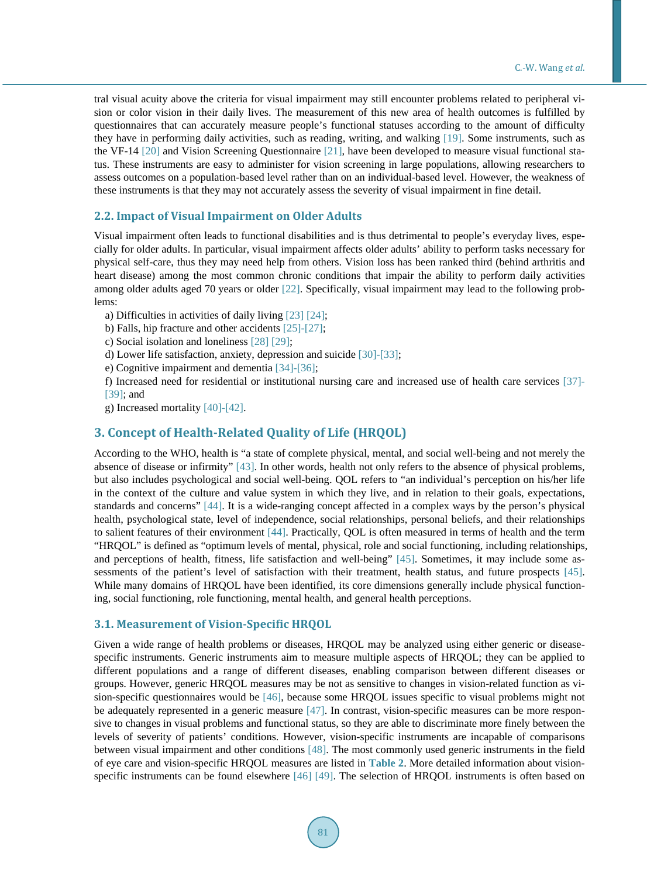tral visual acuity above the criteria for visual impairment may still encounter problems related to peripheral vision or color vision in their daily lives. The measurement of this new area of health outcomes is fulfilled by questionnaires that can accurately measure people's functional statuses according to the amount of difficulty they have in performing daily activities, such as reading, writing, and walking [\[19\].](#page-9-13) Some instruments, such as the VF-14 [\[20\]](#page-9-14) and Vision Screening Questionnaire [\[21\],](#page-9-15) have been developed to measure visual functional status. These instruments are easy to administer for vision screening in large populations, allowing researchers to assess outcomes on a population-based level rather than on an individual-based level. However, the weakness of these instruments is that they may not accurately assess the severity of visual impairment in fine detail.

#### **2.2. Impact of Visual Impairment on Older Adults**

Visual impairment often leads to functional disabilities and is thus detrimental to people's everyday lives, especially for older adults. In particular, visual impairment affects older adults' ability to perform tasks necessary for physical self-care, thus they may need help from others. Vision loss has been ranked third (behind arthritis and heart disease) among the most common chronic conditions that impair the ability to perform daily activities among older adults aged 70 years or older [\[22\].](#page-9-16) Specifically, visual impairment may lead to the following problems:

a) Difficulties in activities of daily living [\[23\]](#page-9-17) [\[24\];](#page-10-0)

b) Falls, hip fracture and other accident[s \[25\]](#page-10-1)[-\[27\];](#page-10-2)

c) Social isolation and loneliness [\[28\]](#page-10-3) [\[29\];](#page-10-4)

d) Lower life satisfaction, anxiety, depression and suicide [\[30\]-](#page-10-5)[\[33\];](#page-10-6)

e) Cognitive impairment and dementi[a \[34\]-](#page-10-7)[\[36\];](#page-10-8)

f) Increased need for residential or institutional nursing care and increased use of health care services [\[37\]-](#page-10-9) [\[39\];](#page-10-10) and

g) Increased mortality [\[40\]](#page-10-11)[-\[42\].](#page-10-12)

# **3. Concept of Health-Related Quality of Life (HRQOL)**

According to the WHO, health is "a state of complete physical, mental, and social well-being and not merely the absence of disease or infirmity" [\[43\].](#page-10-13) In other words, health not only refers to the absence of physical problems, but also includes psychological and social well-being. QOL refers to "an individual's perception on his/her life in the context of the culture and value system in which they live, and in relation to their goals, expectations, standards and concerns" [\[44\].](#page-11-0) It is a wide-ranging concept affected in a complex ways by the person's physical health, psychological state, level of independence, social relationships, personal beliefs, and their relationships to salient features of their environment [\[44\].](#page-11-0) Practically, QOL is often measured in terms of health and the term "HRQOL" is defined as "optimum levels of mental, physical, role and social functioning, including relationships, and perceptions of health, fitness, life satisfaction and well-being" [\[45\].](#page-11-1) Sometimes, it may include some assessments of the patient's level of satisfaction with their treatment, health status, and future prospects [\[45\].](#page-11-1) While many domains of HRQOL have been identified, its core dimensions generally include physical functioning, social functioning, role functioning, mental health, and general health perceptions.

## **3.1. Measurement of Vision-Specific HRQOL**

Given a wide range of health problems or diseases, HRQOL may be analyzed using either generic or diseasespecific instruments. Generic instruments aim to measure multiple aspects of HRQOL; they can be applied to different populations and a range of different diseases, enabling comparison between different diseases or groups. However, generic HRQOL measures may be not as sensitive to changes in vision-related function as vision-specific questionnaires would be [\[46\],](#page-11-2) because some HRQOL issues specific to visual problems might not be adequately represented in a generic measure [\[47\].](#page-11-3) In contrast, vision-specific measures can be more responsive to changes in visual problems and functional status, so they are able to discriminate more finely between the levels of severity of patients' conditions. However, vision-specific instruments are incapable of comparisons between visual impairment and other conditions [\[48\].](#page-11-4) The most commonly used generic instruments in the field of eye care and vision-specific HRQOL measures are listed in **[Table 2](#page-3-0)**. More detailed information about vision-specific instruments can be found elsewhere [\[46\]](#page-11-2) [\[49\].](#page-11-5) The selection of HRQOL instruments is often based on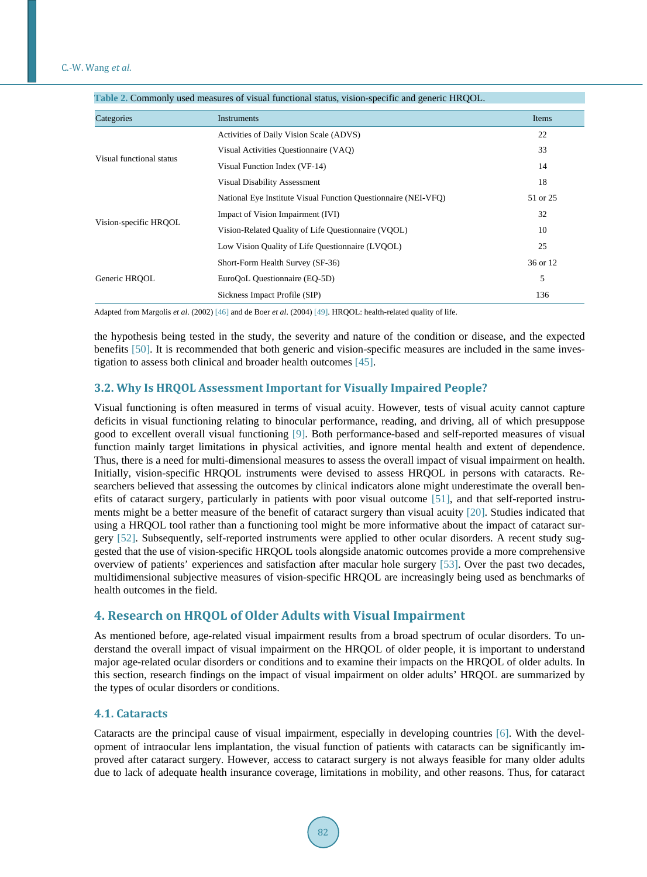| <b>Table 2.</b> Commonly used measures of visual functional status, vision-specific and generic fift politic |                                                                |          |  |
|--------------------------------------------------------------------------------------------------------------|----------------------------------------------------------------|----------|--|
| Categories                                                                                                   | Instruments                                                    | Items    |  |
| Visual functional status                                                                                     | Activities of Daily Vision Scale (ADVS)                        | 22       |  |
|                                                                                                              | Visual Activities Questionnaire (VAQ)                          | 33       |  |
|                                                                                                              | Visual Function Index (VF-14)                                  | 14       |  |
|                                                                                                              | Visual Disability Assessment                                   | 18       |  |
| Vision-specific HRQOL                                                                                        | National Eye Institute Visual Function Questionnaire (NEI-VFQ) | 51 or 25 |  |
|                                                                                                              | Impact of Vision Impairment (IVI)                              | 32       |  |
|                                                                                                              | Vision-Related Quality of Life Questionnaire (VOOL)            | 10       |  |
|                                                                                                              | Low Vision Quality of Life Questionnaire (LVQOL)               | 25       |  |
| Generic HROOL                                                                                                | Short-Form Health Survey (SF-36)                               | 36 or 12 |  |
|                                                                                                              | EuroQoL Questionnaire (EQ-5D)                                  | 5        |  |
|                                                                                                              | Sickness Impact Profile (SIP)                                  | 136      |  |

<span id="page-3-0"></span>**Table 2.** Commonly used measures of visual functional status, vision-specific and generic HRQOL.

Adapted from Margolis *et al*. (2002[\) \[46\]](#page-11-2) and de Boer *et al*. (2004[\) \[49\].](#page-11-5) HRQOL: health-related quality of life.

the hypothesis being tested in the study, the severity and nature of the condition or disease, and the expected benefits [\[50\].](#page-11-6) It is recommended that both generic and vision-specific measures are included in the same investigation to assess both clinical and broader health outcomes [\[45\].](#page-11-1)

## **3.2. Why Is HRQOL Assessment Important for Visually Impaired People?**

Visual functioning is often measured in terms of visual acuity. However, tests of visual acuity cannot capture deficits in visual functioning relating to binocular performance, reading, and driving, all of which presuppose good to excellent overall visual functioning [\[9\].](#page-9-18) Both performance-based and self-reported measures of visual function mainly target limitations in physical activities, and ignore mental health and extent of dependence. Thus, there is a need for multi-dimensional measures to assess the overall impact of visual impairment on health. Initially, vision-specific HRQOL instruments were devised to assess HRQOL in persons with cataracts. Researchers believed that assessing the outcomes by clinical indicators alone might underestimate the overall benefits of cataract surgery, particularly in patients with poor visual outcome [\[51\],](#page-11-7) and that self-reported instruments might be a better measure of the benefit of cataract surgery than visual acuity [\[20\].](#page-9-14) Studies indicated that using a HRQOL tool rather than a functioning tool might be more informative about the impact of cataract surgery [\[52\].](#page-11-8) Subsequently, self-reported instruments were applied to other ocular disorders. A recent study suggested that the use of vision-specific HRQOL tools alongside anatomic outcomes provide a more comprehensive overview of patients' experiences and satisfaction after macular hole surgery [\[53\].](#page-11-9) Over the past two decades, multidimensional subjective measures of vision-specific HRQOL are increasingly being used as benchmarks of health outcomes in the field.

# **4. Research on HRQOL of Older Adults with Visual Impairment**

As mentioned before, age-related visual impairment results from a broad spectrum of ocular disorders. To understand the overall impact of visual impairment on the HRQOL of older people, it is important to understand major age-related ocular disorders or conditions and to examine their impacts on the HRQOL of older adults. In this section, research findings on the impact of visual impairment on older adults' HRQOL are summarized by the types of ocular disorders or conditions.

#### **4.1. Cataracts**

Cataracts are the principal cause of visual impairment, especially in developing countries [\[6\].](#page-9-5) With the development of intraocular lens implantation, the visual function of patients with cataracts can be significantly improved after cataract surgery. However, access to cataract surgery is not always feasible for many older adults due to lack of adequate health insurance coverage, limitations in mobility, and other reasons. Thus, for cataract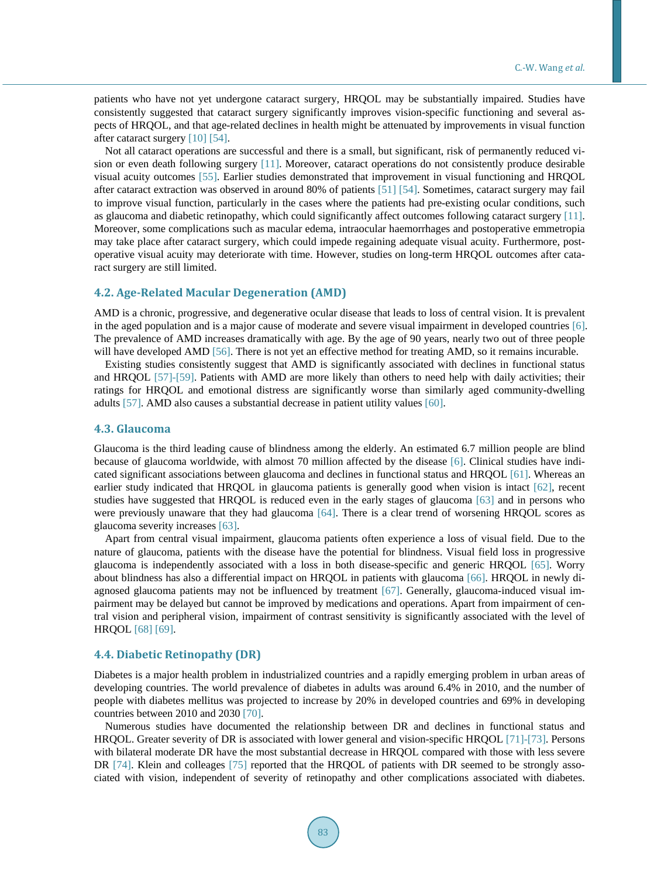patients who have not yet undergone cataract surgery, HRQOL may be substantially impaired. Studies have consistently suggested that cataract surgery significantly improves vision-specific functioning and several aspects of HRQOL, and that age-related declines in health might be attenuated by improvements in visual function after cataract surger[y \[10\]](#page-9-19) [\[54\].](#page-11-10)

Not all cataract operations are successful and there is a small, but significant, risk of permanently reduced vision or even death following surgery [\[11\].](#page-9-20) Moreover, cataract operations do not consistently produce desirable visual acuity outcomes [\[55\].](#page-11-11) Earlier studies demonstrated that improvement in visual functioning and HRQOL after cataract extraction was observed in around 80% of patients [\[51\]](#page-11-7) [\[54\].](#page-11-10) Sometimes, cataract surgery may fail to improve visual function, particularly in the cases where the patients had pre-existing ocular conditions, such as glaucoma and diabetic retinopathy, which could significantly affect outcomes following cataract surgery [\[11\].](#page-9-20) Moreover, some complications such as macular edema, intraocular haemorrhages and postoperative emmetropia may take place after cataract surgery, which could impede regaining adequate visual acuity. Furthermore, postoperative visual acuity may deteriorate with time. However, studies on long-term HRQOL outcomes after cataract surgery are still limited.

## **4.2. Age-Related Macular Degeneration (AMD)**

AMD is a chronic, progressive, and degenerative ocular disease that leads to loss of central vision. It is prevalent in the aged population and is a major cause of moderate and severe visual impairment in developed countries [\[6\].](#page-9-5) The prevalence of AMD increases dramatically with age. By the age of 90 years, nearly two out of three people will have developed AM[D \[56\].](#page-11-12) There is not yet an effective method for treating AMD, so it remains incurable.

Existing studies consistently suggest that AMD is significantly associated with declines in functional status and HRQOL [\[57\]-](#page-11-13)[\[59\].](#page-11-14) Patients with AMD are more likely than others to need help with daily activities; their ratings for HRQOL and emotional distress are significantly worse than similarly aged community-dwelling adults [\[57\].](#page-11-13) AMD also causes a substantial decrease in patient utility values [\[60\].](#page-11-15)

#### **4.3. Glaucoma**

Glaucoma is the third leading cause of blindness among the elderly. An estimated 6.7 million people are blind because of glaucoma worldwide, with almost 70 million affected by the disease [\[6\].](#page-9-5) Clinical studies have indicated significant associations between glaucoma and declines in functional status and HRQO[L \[61\].](#page-11-16) Whereas an earlier study indicated that HRQOL in glaucoma patients is generally good when vision is intact [\[62\],](#page-11-17) recent studies have suggested that HRQOL is reduced even in the early stages of glaucoma [\[63\]](#page-11-18) and in persons who were previously unaware that they had glaucoma [\[64\].](#page-11-19) There is a clear trend of worsening HRQOL scores as glaucoma severity increases [\[63\].](#page-11-18)

Apart from central visual impairment, glaucoma patients often experience a loss of visual field. Due to the nature of glaucoma, patients with the disease have the potential for blindness. Visual field loss in progressive glaucoma is independently associated with a loss in both disease-specific and generic HRQOL [\[65\].](#page-12-0) Worry about blindness has also a differential impact on HRQOL in patients with glaucoma [\[66\].](#page-12-1) HRQOL in newly diagnosed glaucoma patients may not be influenced by treatment [\[67\].](#page-12-2) Generally, glaucoma-induced visual impairment may be delayed but cannot be improved by medications and operations. Apart from impairment of central vision and peripheral vision, impairment of contrast sensitivity is significantly associated with the level of HRQO[L \[68\]](#page-12-3) [\[69\].](#page-12-4)

#### **4.4. Diabetic Retinopathy (DR)**

Diabetes is a major health problem in industrialized countries and a rapidly emerging problem in urban areas of developing countries. The world prevalence of diabetes in adults was around 6.4% in 2010, and the number of people with diabetes mellitus was projected to increase by 20% in developed countries and 69% in developing countries between 2010 and 203[0 \[70\].](#page-12-5)

Numerous studies have documented the relationship between DR and declines in functional status and HRQOL. Greater severity of DR is associated with lower general and vision-specific HRQOL [\[71\]-](#page-12-6)[\[73\].](#page-12-7) Persons with bilateral moderate DR have the most substantial decrease in HRQOL compared with those with less severe DR [\[74\].](#page-12-8) Klein and colleages [\[75\]](#page-12-9) reported that the HRQOL of patients with DR seemed to be strongly associated with vision, independent of severity of retinopathy and other complications associated with diabetes.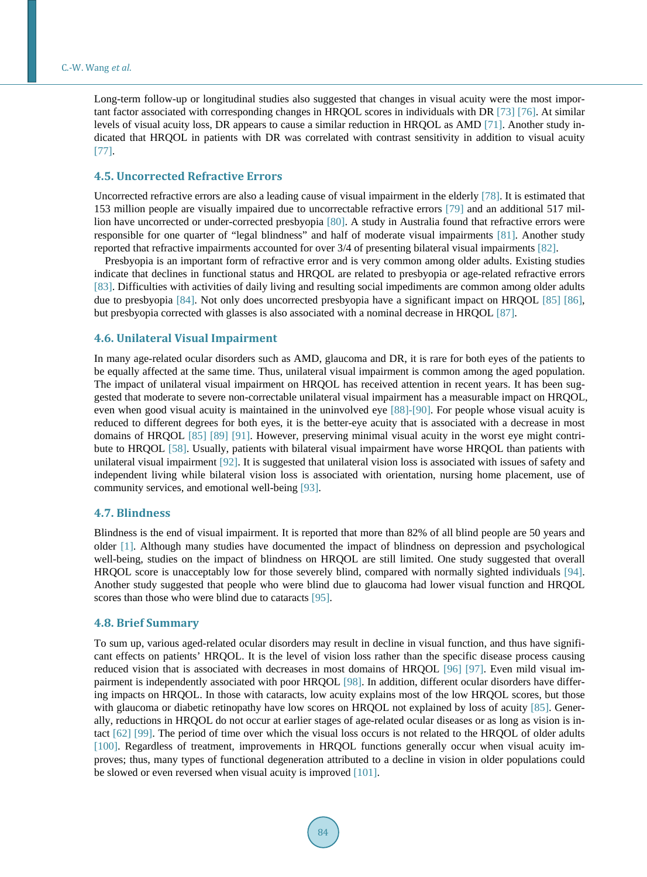Long-term follow-up or longitudinal studies also suggested that changes in visual acuity were the most important factor associated with corresponding changes in HRQOL scores in individuals with DR [\[73\]](#page-12-7) [\[76\].](#page-12-10) At similar levels of visual acuity loss, DR appears to cause a similar reduction in HRQOL as AMD [\[71\].](#page-12-6) Another study indicated that HRQOL in patients with DR was correlated with contrast sensitivity in addition to visual acuity [\[77\].](#page-12-11)

#### **4.5. Uncorrected Refractive Errors**

Uncorrected refractive errors are also a leading cause of visual impairment in the elderly [\[78\].](#page-12-12) It is estimated that 153 million people are visually impaired due to uncorrectable refractive errors [\[79\]](#page-12-13) and an additional 517 million have uncorrected or under-corrected presbyopia [\[80\].](#page-12-14) A study in Australia found that refractive errors were responsible for one quarter of "legal blindness" and half of moderate visual impairments [\[81\].](#page-12-15) Another study reported that refractive impairments accounted for over 3/4 of presenting bilateral visual impairments [\[82\].](#page-12-16)

Presbyopia is an important form of refractive error and is very common among older adults. Existing studies indicate that declines in functional status and HRQOL are related to presbyopia or age-related refractive errors [\[83\].](#page-13-0) Difficulties with activities of daily living and resulting social impediments are common among older adults due to presbyopia [\[84\].](#page-13-1) Not only does uncorrected presbyopia have a significant impact on HRQOL [\[85\]](#page-13-2) [\[86\],](#page-13-3) but presbyopia corrected with glasses is also associated with a nominal decrease in HRQOL [\[87\].](#page-13-4)

## **4.6. Unilateral Visual Impairment**

In many age-related ocular disorders such as AMD, glaucoma and DR, it is rare for both eyes of the patients to be equally affected at the same time. Thus, unilateral visual impairment is common among the aged population. The impact of unilateral visual impairment on HRQOL has received attention in recent years. It has been suggested that moderate to severe non-correctable unilateral visual impairment has a measurable impact on HRQOL, even when good visual acuity is maintained in the uninvolved eye [\[88\]](#page-13-5)[-\[90\].](#page-13-6) For people whose visual acuity is reduced to different degrees for both eyes, it is the better-eye acuity that is associated with a decrease in most domains of HRQOL [\[85\]](#page-13-2) [\[89\]](#page-13-7) [\[91\].](#page-13-8) However, preserving minimal visual acuity in the worst eye might contribute to HRQOL [\[58\].](#page-11-20) Usually, patients with bilateral visual impairment have worse HRQOL than patients with unilateral visual impairment [\[92\].](#page-13-9) It is suggested that unilateral vision loss is associated with issues of safety and independent living while bilateral vision loss is associated with orientation, nursing home placement, use of community services, and emotional well-bein[g \[93\].](#page-13-10)

#### **4.7. Blindness**

Blindness is the end of visual impairment. It is reported that more than 82% of all blind people are 50 years and older [\[1\].](#page-9-0) Although many studies have documented the impact of blindness on depression and psychological well-being, studies on the impact of blindness on HRQOL are still limited. One study suggested that overall HRQOL score is unacceptably low for those severely blind, compared with normally sighted individuals [\[94\].](#page-13-11) Another study suggested that people who were blind due to glaucoma had lower visual function and HRQOL scores than those who were blind due to cataracts [\[95\].](#page-13-12)

### **4.8. Brief Summary**

To sum up, various aged-related ocular disorders may result in decline in visual function, and thus have significant effects on patients' HRQOL. It is the level of vision loss rather than the specific disease process causing reduced vision that is associated with decreases in most domains of HRQOL [\[96\]](#page-13-13) [\[97\].](#page-13-14) Even mild visual impairment is independently associated with poor HRQOL [\[98\].](#page-13-15) In addition, different ocular disorders have differing impacts on HRQOL. In those with cataracts, low acuity explains most of the low HRQOL scores, but those with glaucoma or diabetic retinopathy have low scores on HRQOL not explained by loss of acuity [\[85\].](#page-13-2) Generally, reductions in HRQOL do not occur at earlier stages of age-related ocular diseases or as long as vision is intact [\[62\]](#page-11-17) [\[99\].](#page-13-16) The period of time over which the visual loss occurs is not related to the HRQOL of older adults [\[100\].](#page-13-17) Regardless of treatment, improvements in HRQOL functions generally occur when visual acuity improves; thus, many types of functional degeneration attributed to a decline in vision in older populations could be slowed or even reversed when visual acuity is improve[d \[101\].](#page-13-18)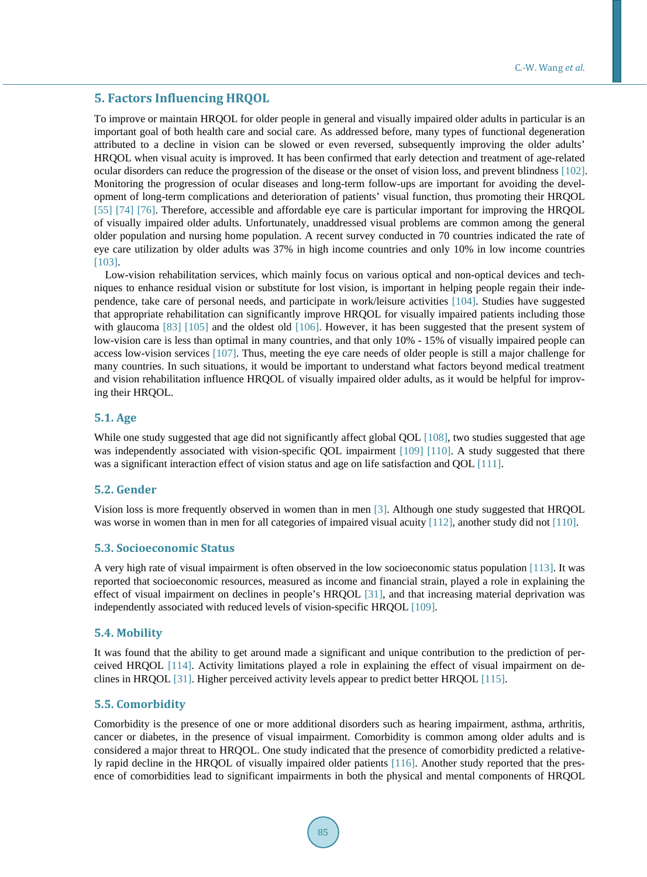## **5. Factors Influencing HRQOL**

To improve or maintain HRQOL for older people in general and visually impaired older adults in particular is an important goal of both health care and social care. As addressed before, many types of functional degeneration attributed to a decline in vision can be slowed or even reversed, subsequently improving the older adults' HRQOL when visual acuity is improved. It has been confirmed that early detection and treatment of age-related ocular disorders can reduce the progression of the disease or the onset of vision loss, and prevent blindness [\[102\].](#page-13-19) Monitoring the progression of ocular diseases and long-term follow-ups are important for avoiding the development of long-term complications and deterioration of patients' visual function, thus promoting their HRQOL [\[55\]](#page-11-11) [\[74\]](#page-12-8) [\[76\].](#page-12-10) Therefore, accessible and affordable eye care is particular important for improving the HRQOL of visually impaired older adults. Unfortunately, unaddressed visual problems are common among the general older population and nursing home population. A recent survey conducted in 70 countries indicated the rate of eye care utilization by older adults was 37% in high income countries and only 10% in low income countries [\[103\].](#page-14-0)

Low-vision rehabilitation services, which mainly focus on various optical and non-optical devices and techniques to enhance residual vision or substitute for lost vision, is important in helping people regain their independence, take care of personal needs, and participate in work/leisure activities [\[104\].](#page-14-1) Studies have suggested that appropriate rehabilitation can significantly improve HRQOL for visually impaired patients including those with glaucoma [\[83\]](#page-13-0) [\[105\]](#page-14-2) and the oldest old [\[106\].](#page-14-3) However, it has been suggested that the present system of low-vision care is less than optimal in many countries, and that only 10% - 15% of visually impaired people can access low-vision services [\[107\].](#page-14-4) Thus, meeting the eye care needs of older people is still a major challenge for many countries. In such situations, it would be important to understand what factors beyond medical treatment and vision rehabilitation influence HRQOL of visually impaired older adults, as it would be helpful for improving their HRQOL.

## **5.1. Age**

While one study suggested that age did not significantly affect global QOL [\[108\],](#page-14-5) two studies suggested that age was independently associated with vision-specific QOL impairment [\[109\]](#page-14-6) [\[110\].](#page-14-7) A study suggested that there was a significant interaction effect of vision status and age on life satisfaction and QO[L \[111\].](#page-14-8)

# **5.2. Gender**

Vision loss is more frequently observed in women than in men [\[3\].](#page-9-2) Although one study suggested that HRQOL was worse in women than in men for all categories of impaired visual acuity [\[112\],](#page-14-9) another study did not [\[110\].](#page-14-7)

#### **5.3. Socioeconomic Status**

A very high rate of visual impairment is often observed in the low socioeconomic status populatio[n \[113\].](#page-14-10) It was reported that socioeconomic resources, measured as income and financial strain, played a role in explaining the effect of visual impairment on declines in people's HRQOL [\[31\],](#page-10-14) and that increasing material deprivation was independently associated with reduced levels of vision-specific HRQOL [\[109\].](#page-14-6) 

## **5.4. Mobility**

It was found that the ability to get around made a significant and unique contribution to the prediction of perceived HRQOL [\[114\].](#page-14-11) Activity limitations played a role in explaining the effect of visual impairment on declines in HRQO[L \[31\].](#page-10-14) Higher perceived activity levels appear to predict better HRQOL [\[115\].](#page-14-12)

### **5.5. Comorbidity**

Comorbidity is the presence of one or more additional disorders such as hearing impairment, asthma, arthritis, cancer or diabetes, in the presence of visual impairment. Comorbidity is common among older adults and is considered a major threat to HRQOL. One study indicated that the presence of comorbidity predicted a relatively rapid decline in the HRQOL of visually impaired older patients [\[116\].](#page-14-13) Another study reported that the presence of comorbidities lead to significant impairments in both the physical and mental components of HRQOL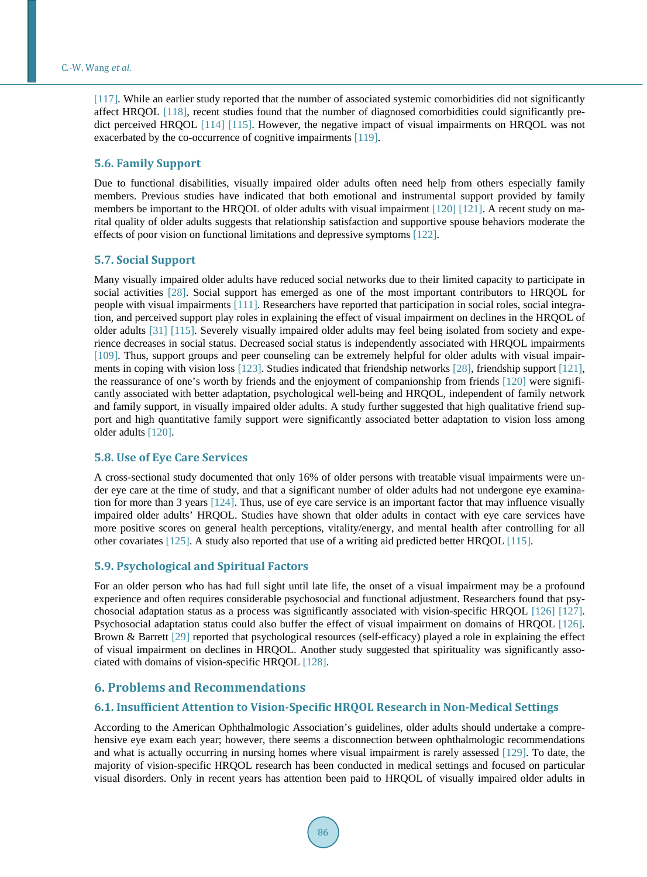[\[117\].](#page-14-14) While an earlier study reported that the number of associated systemic comorbidities did not significantly affect HRQOL [\[118\],](#page-14-15) recent studies found that the number of diagnosed comorbidities could significantly pre-dict perceived HROOL [\[114\]](#page-14-11) [\[115\].](#page-14-12) However, the negative impact of visual impairments on HROOL was not exacerbated by the co-occurrence of cognitive impairments [\[119\].](#page-14-16)

## **5.6. Family Support**

Due to functional disabilities, visually impaired older adults often need help from others especially family members. Previous studies have indicated that both emotional and instrumental support provided by family members be important to the HRQOL of older adults with visual impairment [\[120\]](#page-14-17) [\[121\].](#page-14-18) A recent study on marital quality of older adults suggests that relationship satisfaction and supportive spouse behaviors moderate the effects of poor vision on functional limitations and depressive symptoms [\[122\].](#page-14-19)

## **5.7. Social Support**

Many visually impaired older adults have reduced social networks due to their limited capacity to participate in social activities [\[28\].](#page-10-3) Social support has emerged as one of the most important contributors to HRQOL for people with visual impairments [\[111\].](#page-14-8) Researchers have reported that participation in social roles, social integration, and perceived support play roles in explaining the effect of visual impairment on declines in the HRQOL of older adults [\[31\]](#page-10-14) [\[115\].](#page-14-12) Severely visually impaired older adults may feel being isolated from society and experience decreases in social status. Decreased social status is independently associated with HRQOL impairments [\[109\].](#page-14-6) Thus, support groups and peer counseling can be extremely helpful for older adults with visual impairments in coping with vision loss [\[123\].](#page-14-20) Studies indicated that friendship networks [\[28\],](#page-10-3) friendship support [\[121\],](#page-14-18) the reassurance of one's worth by friends and the enjoyment of companionship from friends [\[120\]](#page-14-17) were significantly associated with better adaptation, psychological well-being and HRQOL, independent of family network and family support, in visually impaired older adults. A study further suggested that high qualitative friend support and high quantitative family support were significantly associated better adaptation to vision loss among older adults [\[120\].](#page-14-17)

# **5.8. Use of Eye Care Services**

A cross-sectional study documented that only 16% of older persons with treatable visual impairments were under eye care at the time of study, and that a significant number of older adults had not undergone eye examination for more than 3 years [\[124\].](#page-15-0) Thus, use of eye care service is an important factor that may influence visually impaired older adults' HRQOL. Studies have shown that older adults in contact with eye care services have more positive scores on general health perceptions, vitality/energy, and mental health after controlling for all other covariates [\[125\].](#page-15-1) A study also reported that use of a writing aid predicted better HRQOL [\[115\].](#page-14-12)

## **5.9. Psychological and Spiritual Factors**

For an older person who has had full sight until late life, the onset of a visual impairment may be a profound experience and often requires considerable psychosocial and functional adjustment. Researchers found that psychosocial adaptation status as a process was significantly associated with vision-specific HRQOL [\[126\]](#page-15-2) [\[127\].](#page-15-3) Psychosocial adaptation status could also buffer the effect of visual impairment on domains of HRQOL [\[126\].](#page-15-2) Brown & Barrett [\[29\]](#page-10-4) reported that psychological resources (self-efficacy) played a role in explaining the effect of visual impairment on declines in HRQOL. Another study suggested that spirituality was significantly associated with domains of vision-specific HRQOL [\[128\].](#page-15-4)

# **6. Problems and Recommendations**

## **6.1. Insufficient Attention to Vision-Specific HRQOL Research in Non-Medical Settings**

According to the American Ophthalmologic Association's guidelines, older adults should undertake a comprehensive eye exam each year; however, there seems a disconnection between ophthalmologic recommendations and what is actually occurring in nursing homes where visual impairment is rarely assessed [\[129\].](#page-15-5) To date, the majority of vision-specific HRQOL research has been conducted in medical settings and focused on particular visual disorders. Only in recent years has attention been paid to HRQOL of visually impaired older adults in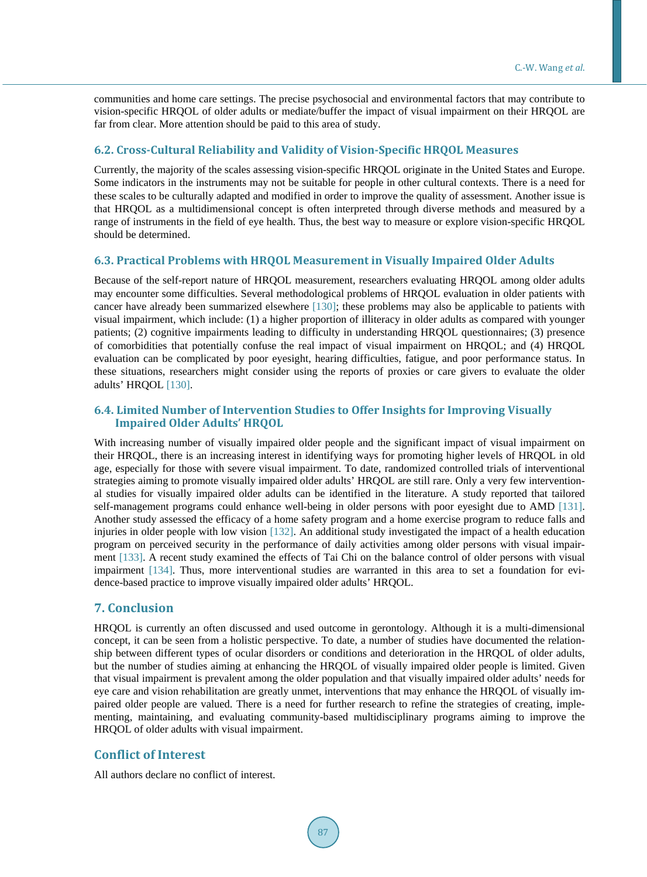communities and home care settings. The precise psychosocial and environmental factors that may contribute to vision-specific HRQOL of older adults or mediate/buffer the impact of visual impairment on their HRQOL are far from clear. More attention should be paid to this area of study.

# **6.2. Cross-Cultural Reliability and Validity of Vision-Specific HRQOL Measures**

Currently, the majority of the scales assessing vision-specific HRQOL originate in the United States and Europe. Some indicators in the instruments may not be suitable for people in other cultural contexts. There is a need for these scales to be culturally adapted and modified in order to improve the quality of assessment. Another issue is that HRQOL as a multidimensional concept is often interpreted through diverse methods and measured by a range of instruments in the field of eye health. Thus, the best way to measure or explore vision-specific HRQOL should be determined.

## **6.3. Practical Problems with HRQOL Measurement in Visually Impaired Older Adults**

Because of the self-report nature of HRQOL measurement, researchers evaluating HRQOL among older adults may encounter some difficulties. Several methodological problems of HRQOL evaluation in older patients with cancer have already been summarized elsewhere [\[130\];](#page-15-6) these problems may also be applicable to patients with visual impairment, which include: (1) a higher proportion of illiteracy in older adults as compared with younger patients; (2) cognitive impairments leading to difficulty in understanding HRQOL questionnaires; (3) presence of comorbidities that potentially confuse the real impact of visual impairment on HRQOL; and (4) HRQOL evaluation can be complicated by poor eyesight, hearing difficulties, fatigue, and poor performance status. In these situations, researchers might consider using the reports of proxies or care givers to evaluate the older adults' HRQOL [\[130\].](#page-15-6)

# **6.4. Limited Number of Intervention Studies to Offer Insights for Improving Visually Impaired Older Adults' HRQOL**

With increasing number of visually impaired older people and the significant impact of visual impairment on their HRQOL, there is an increasing interest in identifying ways for promoting higher levels of HRQOL in old age, especially for those with severe visual impairment. To date, randomized controlled trials of interventional strategies aiming to promote visually impaired older adults' HRQOL are still rare. Only a very few interventional studies for visually impaired older adults can be identified in the literature. A study reported that tailored self-management programs could enhance well-being in older persons with poor eyesight due to AMD [\[131\].](#page-15-7) Another study assessed the efficacy of a home safety program and a home exercise program to reduce falls and injuries in older people with low vision [\[132\].](#page-15-8) An additional study investigated the impact of a health education program on perceived security in the performance of daily activities among older persons with visual impairment [\[133\].](#page-15-9) A recent study examined the effects of Tai Chi on the balance control of older persons with visual impairment [\[134\].](#page-15-10) Thus, more interventional studies are warranted in this area to set a foundation for evidence-based practice to improve visually impaired older adults' HRQOL.

## **7. Conclusion**

HRQOL is currently an often discussed and used outcome in gerontology. Although it is a multi-dimensional concept, it can be seen from a holistic perspective. To date, a number of studies have documented the relationship between different types of ocular disorders or conditions and deterioration in the HRQOL of older adults, but the number of studies aiming at enhancing the HRQOL of visually impaired older people is limited. Given that visual impairment is prevalent among the older population and that visually impaired older adults' needs for eye care and vision rehabilitation are greatly unmet, interventions that may enhance the HRQOL of visually impaired older people are valued. There is a need for further research to refine the strategies of creating, implementing, maintaining, and evaluating community-based multidisciplinary programs aiming to improve the HRQOL of older adults with visual impairment.

# **Conflict of Interest**

All authors declare no conflict of interest.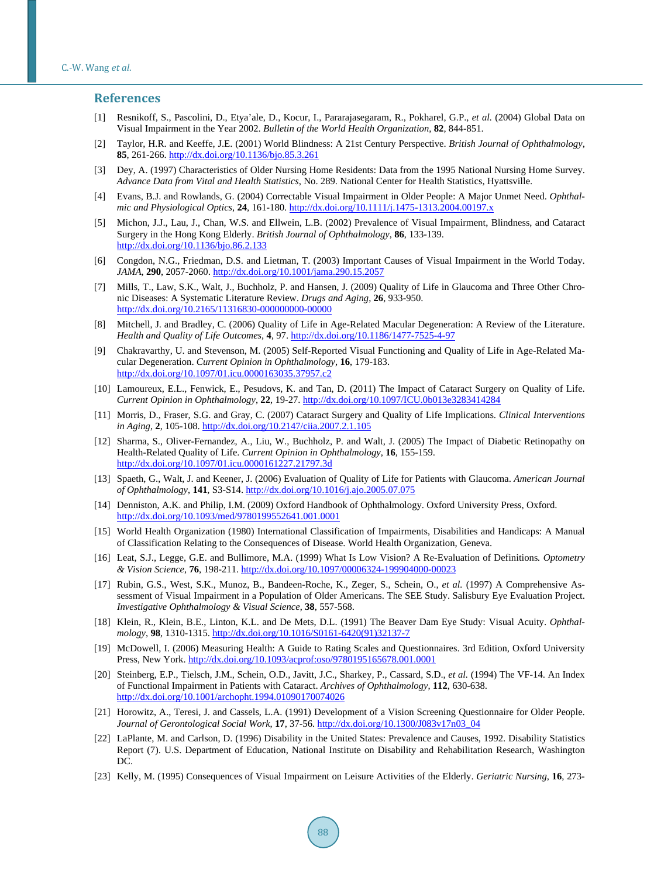#### **References**

- <span id="page-9-0"></span>[1] Resnikoff, S., Pascolini, D., Etya'ale, D., Kocur, I., Pararajasegaram, R., Pokharel, G.P., *et al.* (2004) Global Data on Visual Impairment in the Year 2002. *Bulletin of the World Health Organization*, **82**, 844-851.
- <span id="page-9-1"></span>[2] Taylor, H.R. and Keeffe, J.E. (2001) World Blindness: A 21st Century Perspective. *British Journal of Ophthalmology*, **85**, 261-266[. http://dx.doi.org/10.1136/bjo.85.3.261](http://dx.doi.org/10.1136/bjo.85.3.261)
- <span id="page-9-2"></span>[3] Dey, A. (1997) Characteristics of Older Nursing Home Residents: Data from the 1995 National Nursing Home Survey. *Advance Data from Vital and Health Statistics*, No. 289. National Center for Health Statistics, Hyattsville.
- <span id="page-9-3"></span>[4] Evans, B.J. and Rowlands, G. (2004) Correctable Visual Impairment in Older People: A Major Unmet Need. *Ophthalmic and Physiological Optics*, **24**, 161-180[. http://dx.doi.org/10.1111/j.1475-1313.2004.00197.x](http://dx.doi.org/10.1111/j.1475-1313.2004.00197.x)
- <span id="page-9-4"></span>[5] Michon, J.J., Lau, J., Chan, W.S. and Ellwein, L.B. (2002) Prevalence of Visual Impairment, Blindness, and Cataract Surgery in the Hong Kong Elderly. *British Journal of Ophthalmology*, **86**, 133-139. <http://dx.doi.org/10.1136/bjo.86.2.133>
- <span id="page-9-5"></span>[6] Congdon, N.G., Friedman, D.S. and Lietman, T. (2003) Important Causes of Visual Impairment in the World Today. *JAMA*, **290**, 2057-2060.<http://dx.doi.org/10.1001/jama.290.15.2057>
- <span id="page-9-6"></span>[7] Mills, T., Law, S.K., Walt, J., Buchholz, P. and Hansen, J. (2009) Quality of Life in Glaucoma and Three Other Chronic Diseases: A Systematic Literature Review. *Drugs and Aging*, **26**, 933-950. <http://dx.doi.org/10.2165/11316830-000000000-00000>
- [8] Mitchell, J. and Bradley, C. (2006) Quality of Life in Age-Related Macular Degeneration: A Review of the Literature. *Health and Quality of Life Outcomes*, **4**, 97.<http://dx.doi.org/10.1186/1477-7525-4-97>
- <span id="page-9-18"></span>[9] Chakravarthy, U. and Stevenson, M. (2005) Self-Reported Visual Functioning and Quality of Life in Age-Related Macular Degeneration. *Current Opinion in Ophthalmology*, **16**, 179-183. <http://dx.doi.org/10.1097/01.icu.0000163035.37957.c2>
- <span id="page-9-19"></span>[10] Lamoureux, E.L., Fenwick, E., Pesudovs, K. and Tan, D. (2011) The Impact of Cataract Surgery on Quality of Life. *Current Opinion in Ophthalmology*, **22**, 19-27.<http://dx.doi.org/10.1097/ICU.0b013e3283414284>
- <span id="page-9-20"></span>[11] Morris, D., Fraser, S.G. and Gray, C. (2007) Cataract Surgery and Quality of Life Implications. *Clinical Interventions in Aging*, **2**, 105-108[. http://dx.doi.org/10.2147/ciia.2007.2.1.105](http://dx.doi.org/10.2147/ciia.2007.2.1.105)
- [12] Sharma, S., Oliver-Fernandez, A., Liu, W., Buchholz, P. and Walt, J. (2005) The Impact of Diabetic Retinopathy on Health-Related Quality of Life. *Current Opinion in Ophthalmology*, **16**, 155-159. <http://dx.doi.org/10.1097/01.icu.0000161227.21797.3d>
- <span id="page-9-7"></span>[13] Spaeth, G., Walt, J. and Keener, J. (2006) Evaluation of Quality of Life for Patients with Glaucoma. *American Journal of Ophthalmology*, **141**, S3-S14[. http://dx.doi.org/10.1016/j.ajo.2005.07.075](http://dx.doi.org/10.1016/j.ajo.2005.07.075)
- <span id="page-9-8"></span>[14] Denniston, A.K. and Philip, I.M. (2009) Oxford Handbook of Ophthalmology. Oxford University Press, Oxford. <http://dx.doi.org/10.1093/med/9780199552641.001.0001>
- <span id="page-9-9"></span>[15] World Health Organization (1980) International Classification of Impairments, Disabilities and Handicaps: A Manual of Classification Relating to the Consequences of Disease. World Health Organization, Geneva.
- <span id="page-9-10"></span>[16] Leat, S.J., Legge, G.E. and Bullimore, M.A. (1999) What Is Low Vision? A Re-Evaluation of Definitions*. Optometry & Vision Science*, **76**, 198-211. <http://dx.doi.org/10.1097/00006324-199904000-00023>
- <span id="page-9-11"></span>[17] Rubin, G.S., West, S.K., Munoz, B., Bandeen-Roche, K., Zeger, S., Schein, O., *et al.* (1997) A Comprehensive Assessment of Visual Impairment in a Population of Older Americans. The SEE Study. Salisbury Eye Evaluation Project. *Investigative Ophthalmology & Visual Science*, **38**, 557-568.
- <span id="page-9-12"></span>[18] Klein, R., Klein, B.E., Linton, K.L. and De Mets, D.L. (1991) The Beaver Dam Eye Study: Visual Acuity. *Ophthalmology*, **98**, 1310-1315. [http://dx.doi.org/10.1016/S0161-6420\(91\)32137-7](http://dx.doi.org/10.1016/S0161-6420(91)32137-7)
- <span id="page-9-13"></span>[19] McDowell, I. (2006) Measuring Health: A Guide to Rating Scales and Questionnaires. 3rd Edition, Oxford University Press, New York. <http://dx.doi.org/10.1093/acprof:oso/9780195165678.001.0001>
- <span id="page-9-14"></span>[20] Steinberg, E.P., Tielsch, J.M., Schein, O.D., Javitt, J.C., Sharkey, P., Cassard, S.D., *et al.* (1994) The VF-14. An Index of Functional Impairment in Patients with Cataract. *Archives of Ophthalmology*, **112**, 630-638. <http://dx.doi.org/10.1001/archopht.1994.01090170074026>
- <span id="page-9-15"></span>[21] Horowitz, A., Teresi, J. and Cassels, L.A. (1991) Development of a Vision Screening Questionnaire for Older People. *Journal of Gerontological Social Work*, **17**, 37-56. [http://dx.doi.org/10.1300/J083v17n03\\_04](http://dx.doi.org/10.1300/J083v17n03_04)
- <span id="page-9-16"></span>[22] LaPlante, M. and Carlson, D. (1996) Disability in the United States: Prevalence and Causes, 1992. Disability Statistics Report (7). U.S. Department of Education, National Institute on Disability and Rehabilitation Research, Washington DC.
- <span id="page-9-17"></span>[23] Kelly, M. (1995) Consequences of Visual Impairment on Leisure Activities of the Elderly. *Geriatric Nursing*, **16**, 273-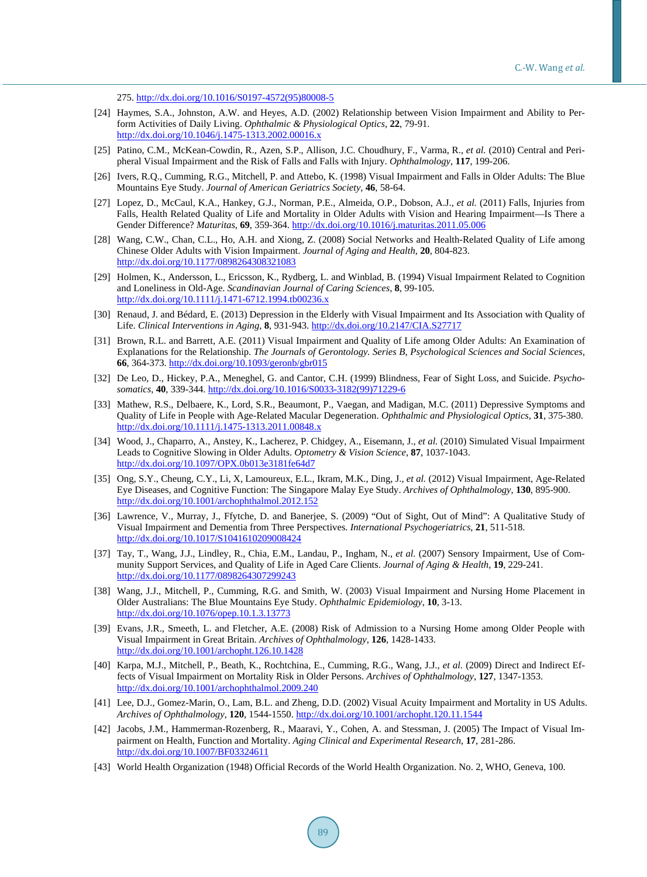275. [http://dx.doi.org/10.1016/S0197-4572\(95\)80008-5](http://dx.doi.org/10.1016/S0197-4572(95)80008-5)

- <span id="page-10-0"></span>[24] Haymes, S.A., Johnston, A.W. and Heyes, A.D. (2002) Relationship between Vision Impairment and Ability to Perform Activities of Daily Living. *Ophthalmic & Physiological Optics*, **22**, 79-91. <http://dx.doi.org/10.1046/j.1475-1313.2002.00016.x>
- <span id="page-10-1"></span>[25] Patino, C.M., McKean-Cowdin, R., Azen, S.P., Allison, J.C. Choudhury, F., Varma, R., *et al.* (2010) Central and Peripheral Visual Impairment and the Risk of Falls and Falls with Injury. *Ophthalmology*, **117**, 199-206.
- [26] Ivers, R.Q., Cumming, R.G., Mitchell, P. and Attebo, K. (1998) Visual Impairment and Falls in Older Adults: The Blue Mountains Eye Study. *Journal of American Geriatrics Society*, **46**, 58-64.
- <span id="page-10-2"></span>[27] Lopez, D., McCaul, K.A., Hankey, G.J., Norman, P.E., Almeida, O.P., Dobson, A.J., *et al.* (2011) Falls, Injuries from Falls, Health Related Quality of Life and Mortality in Older Adults with Vision and Hearing Impairment—Is There a Gender Difference? *Maturitas*, **69**, 359-364. <http://dx.doi.org/10.1016/j.maturitas.2011.05.006>
- <span id="page-10-3"></span>[28] Wang, C.W., Chan, C.L., Ho, A.H. and Xiong, Z. (2008) Social Networks and Health-Related Quality of Life among Chinese Older Adults with Vision Impairment. *Journal of Aging and Health*, **20**, 804-823. <http://dx.doi.org/10.1177/0898264308321083>
- <span id="page-10-4"></span>[29] Holmen, K., Andersson, L., Ericsson, K., Rydberg, L. and Winblad, B. (1994) Visual Impairment Related to Cognition and Loneliness in Old-Age. *Scandinavian Journal of Caring Sciences*, **8**, 99-105. <http://dx.doi.org/10.1111/j.1471-6712.1994.tb00236.x>
- <span id="page-10-5"></span>[30] Renaud, J. and Bédard, E. (2013) Depression in the Elderly with Visual Impairment and Its Association with Quality of Life. *Clinical Interventions in Aging*, **8**, 931-943. <http://dx.doi.org/10.2147/CIA.S27717>
- <span id="page-10-14"></span>[31] Brown, R.L. and Barrett, A.E. (2011) Visual Impairment and Quality of Life among Older Adults: An Examination of Explanations for the Relationship. *The Journals of Gerontology. Series B*, *Psychological Sciences and Social Sciences*, **66**, 364-373. <http://dx.doi.org/10.1093/geronb/gbr015>
- [32] De Leo, D., Hickey, P.A., Meneghel, G. and Cantor, C.H. (1999) Blindness, Fear of Sight Loss, and Suicide. *Psychosomatics*, **40**, 339-344. [http://dx.doi.org/10.1016/S0033-3182\(99\)71229-6](http://dx.doi.org/10.1016/S0033-3182(99)71229-6)
- <span id="page-10-6"></span>[33] Mathew, R.S., Delbaere, K., Lord, S.R., Beaumont, P., Vaegan, and Madigan, M.C. (2011) Depressive Symptoms and Quality of Life in People with Age-Related Macular Degeneration. *Ophthalmic and Physiological Optics*, **31**, 375-380. <http://dx.doi.org/10.1111/j.1475-1313.2011.00848.x>
- <span id="page-10-7"></span>[34] Wood, J., Chaparro, A., Anstey, K., Lacherez, P. Chidgey, A., Eisemann, J., *et al.* (2010) Simulated Visual Impairment Leads to Cognitive Slowing in Older Adults. *Optometry & Vision Science*, **87**, 1037-1043. <http://dx.doi.org/10.1097/OPX.0b013e3181fe64d7>
- [35] Ong, S.Y., Cheung, C.Y., Li, X, Lamoureux, E.L., Ikram, M.K., Ding, J., *et al.* (2012) Visual Impairment, Age-Related Eye Diseases, and Cognitive Function: The Singapore Malay Eye Study. *Archives of Ophthalmology*, **130**, 895-900. <http://dx.doi.org/10.1001/archophthalmol.2012.152>
- <span id="page-10-8"></span>[36] Lawrence, V., Murray, J., Ffytche, D. and Banerjee, S. (2009) "Out of Sight, Out of Mind": A Qualitative Study of Visual Impairment and Dementia from Three Perspectives. *International Psychogeriatrics*, **21**, 511-518. <http://dx.doi.org/10.1017/S1041610209008424>
- <span id="page-10-9"></span>[37] Tay, T., Wang, J.J., Lindley, R., Chia, E.M., Landau, P., Ingham, N., *et al.* (2007) Sensory Impairment, Use of Community Support Services, and Quality of Life in Aged Care Clients. *Journal of Aging & Health*, **19**, 229-241. <http://dx.doi.org/10.1177/0898264307299243>
- [38] Wang, J.J., Mitchell, P., Cumming, R.G. and Smith, W. (2003) Visual Impairment and Nursing Home Placement in Older Australians: The Blue Mountains Eye Study. *Ophthalmic Epidemiology*, **10**, 3-13. <http://dx.doi.org/10.1076/opep.10.1.3.13773>
- <span id="page-10-10"></span>[39] Evans, J.R., Smeeth, L. and Fletcher, A.E. (2008) Risk of Admission to a Nursing Home among Older People with Visual Impairment in Great Britain. *Archives of Ophthalmology*, **126**, 1428-1433. <http://dx.doi.org/10.1001/archopht.126.10.1428>
- <span id="page-10-11"></span>[40] Karpa, M.J., Mitchell, P., Beath, K., Rochtchina, E., Cumming, R.G., Wang, J.J., *et al.* (2009) Direct and Indirect Effects of Visual Impairment on Mortality Risk in Older Persons. *Archives of Ophthalmology*, **127**, 1347-1353. <http://dx.doi.org/10.1001/archophthalmol.2009.240>
- [41] Lee, D.J., Gomez-Marin, O., Lam, B.L. and Zheng, D.D. (2002) Visual Acuity Impairment and Mortality in US Adults. *Archives of Ophthalmology*, **120**, 1544-1550. <http://dx.doi.org/10.1001/archopht.120.11.1544>
- <span id="page-10-12"></span>[42] Jacobs, J.M., Hammerman-Rozenberg, R., Maaravi, Y., Cohen, A. and Stessman, J. (2005) The Impact of Visual Impairment on Health, Function and Mortality. *Aging Clinical and Experimental Research*, **17**, 281-286. <http://dx.doi.org/10.1007/BF03324611>
- <span id="page-10-13"></span>[43] World Health Organization (1948) Official Records of the World Health Organization. No. 2, WHO, Geneva, 100.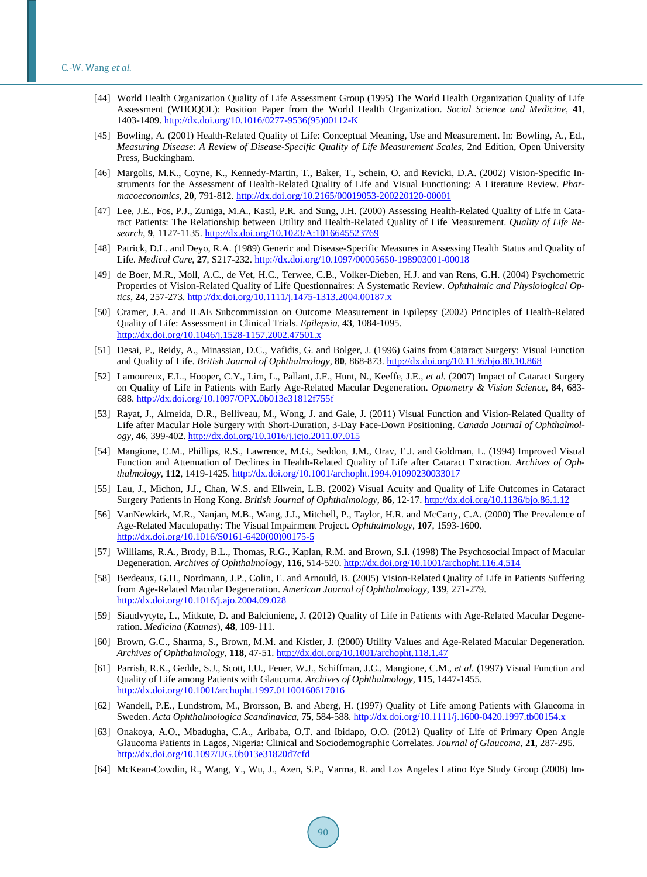- <span id="page-11-0"></span>[44] World Health Organization Quality of Life Assessment Group (1995) The World Health Organization Quality of Life Assessment (WHOQOL): Position Paper from the World Health Organization. *Social Science and Medicine*, **41**, 1403-1409. [http://dx.doi.org/10.1016/0277-9536\(95\)00112-K](http://dx.doi.org/10.1016/0277-9536(95)00112-K)
- <span id="page-11-1"></span>[45] Bowling, A. (2001) Health-Related Quality of Life: Conceptual Meaning, Use and Measurement. In: Bowling, A., Ed., *Measuring Disease*: *A Review of Disease-Specific Quality of Life Measurement Scales*, 2nd Edition, Open University Press, Buckingham.
- <span id="page-11-2"></span>[46] Margolis, M.K., Coyne, K., Kennedy-Martin, T., Baker, T., Schein, O. and Revicki, D.A. (2002) Vision-Specific Instruments for the Assessment of Health-Related Quality of Life and Visual Functioning: A Literature Review. *Pharmacoeconomics*, **20**, 791-812. <http://dx.doi.org/10.2165/00019053-200220120-00001>
- <span id="page-11-3"></span>[47] Lee, J.E., Fos, P.J., Zuniga, M.A., Kastl, P.R. and Sung, J.H. (2000) Assessing Health-Related Quality of Life in Cataract Patients: The Relationship between Utility and Health-Related Quality of Life Measurement. *Quality of Life Research*, **9**, 1127-1135. <http://dx.doi.org/10.1023/A:1016645523769>
- <span id="page-11-4"></span>[48] Patrick, D.L. and Deyo, R.A. (1989) Generic and Disease-Specific Measures in Assessing Health Status and Quality of Life. *Medical Care*, **27**, S217-232. <http://dx.doi.org/10.1097/00005650-198903001-00018>
- <span id="page-11-5"></span>[49] de Boer, M.R., Moll, A.C., de Vet, H.C., Terwee, C.B., Volker-Dieben, H.J. and van Rens, G.H. (2004) Psychometric Properties of Vision-Related Quality of Life Questionnaires: A Systematic Review. *Ophthalmic and Physiological Optics*, **24**, 257-273. <http://dx.doi.org/10.1111/j.1475-1313.2004.00187.x>
- <span id="page-11-6"></span>[50] Cramer, J.A. and ILAE Subcommission on Outcome Measurement in Epilepsy (2002) Principles of Health-Related Quality of Life: Assessment in Clinical Trials. *Epilepsia*, **43**, 1084-1095. <http://dx.doi.org/10.1046/j.1528-1157.2002.47501.x>
- <span id="page-11-7"></span>[51] Desai, P., Reidy, A., Minassian, D.C., Vafidis, G. and Bolger, J. (1996) Gains from Cataract Surgery: Visual Function and Quality of Life. *British Journal of Ophthalmology*, **80**, 868-873. <http://dx.doi.org/10.1136/bjo.80.10.868>
- <span id="page-11-8"></span>[52] Lamoureux, E.L., Hooper, C.Y., Lim, L., Pallant, J.F., Hunt, N., Keeffe, J.E., *et al.* (2007) Impact of Cataract Surgery on Quality of Life in Patients with Early Age-Related Macular Degeneration. *Optometry & Vision Science*, **84**, 683- 688. <http://dx.doi.org/10.1097/OPX.0b013e31812f755f>
- <span id="page-11-9"></span>[53] Rayat, J., Almeida, D.R., Belliveau, M., Wong, J. and Gale, J. (2011) Visual Function and Vision-Related Quality of Life after Macular Hole Surgery with Short-Duration, 3-Day Face-Down Positioning. *Canada Journal of Ophthalmology*, **46**, 399-402. <http://dx.doi.org/10.1016/j.jcjo.2011.07.015>
- <span id="page-11-10"></span>[54] Mangione, C.M., Phillips, R.S., Lawrence, M.G., Seddon, J.M., Orav, E.J. and Goldman, L. (1994) Improved Visual Function and Attenuation of Declines in Health-Related Quality of Life after Cataract Extraction. *Archives of Ophthalmology*, **112**, 1419-1425. <http://dx.doi.org/10.1001/archopht.1994.01090230033017>
- <span id="page-11-11"></span>[55] Lau, J., Michon, J.J., Chan, W.S. and Ellwein, L.B. (2002) Visual Acuity and Quality of Life Outcomes in Cataract Surgery Patients in Hong Kong. *British Journal of Ophthalmology*, **86**, 12-17. <http://dx.doi.org/10.1136/bjo.86.1.12>
- <span id="page-11-12"></span>[56] VanNewkirk, M.R., Nanjan, M.B., Wang, J.J., Mitchell, P., Taylor, H.R. and McCarty, C.A. (2000) The Prevalence of Age-Related Maculopathy: The Visual Impairment Project. *Ophthalmology*, **107**, 1593-1600. [http://dx.doi.org/10.1016/S0161-6420\(00\)00175-5](http://dx.doi.org/10.1016/S0161-6420(00)00175-5)
- <span id="page-11-13"></span>[57] Williams, R.A., Brody, B.L., Thomas, R.G., Kaplan, R.M. and Brown, S.I. (1998) The Psychosocial Impact of Macular Degeneration. *Archives of Ophthalmology*, **116**, 514-520. <http://dx.doi.org/10.1001/archopht.116.4.514>
- <span id="page-11-20"></span>[58] Berdeaux, G.H., Nordmann, J.P., Colin, E. and Arnould, B. (2005) Vision-Related Quality of Life in Patients Suffering from Age-Related Macular Degeneration. *American Journal of Ophthalmology*, **139**, 271-279. <http://dx.doi.org/10.1016/j.ajo.2004.09.028>
- <span id="page-11-14"></span>[59] Siaudvytyte, L., Mitkute, D. and Balciuniene, J. (2012) Quality of Life in Patients with Age-Related Macular Degeneration. *Medicina* (*Kaunas*), **48**, 109-111.
- <span id="page-11-15"></span>[60] Brown, G.C., Sharma, S., Brown, M.M. and Kistler, J. (2000) Utility Values and Age-Related Macular Degeneration. *Archives of Ophthalmology*, **118**, 47-51. <http://dx.doi.org/10.1001/archopht.118.1.47>
- <span id="page-11-16"></span>[61] Parrish, R.K., Gedde, S.J., Scott, I.U., Feuer, W.J., Schiffman, J.C., Mangione, C.M., *et al.* (1997) Visual Function and Quality of Life among Patients with Glaucoma. *Archives of Ophthalmology*, **115**, 1447-1455. <http://dx.doi.org/10.1001/archopht.1997.01100160617016>
- <span id="page-11-17"></span>[62] Wandell, P.E., Lundstrom, M., Brorsson, B. and Aberg, H. (1997) Quality of Life among Patients with Glaucoma in Sweden. *Acta Ophthalmologica Scandinavica*, **75**, 584-588. <http://dx.doi.org/10.1111/j.1600-0420.1997.tb00154.x>
- <span id="page-11-18"></span>[63] Onakoya, A.O., Mbadugha, C.A., Aribaba, O.T. and Ibidapo, O.O. (2012) Quality of Life of Primary Open Angle Glaucoma Patients in Lagos, Nigeria: Clinical and Sociodemographic Correlates. *Journal of Glaucoma*, **21**, 287-295. <http://dx.doi.org/10.1097/IJG.0b013e31820d7cfd>
- <span id="page-11-19"></span>[64] McKean-Cowdin, R., Wang, Y., Wu, J., Azen, S.P., Varma, R. and Los Angeles Latino Eye Study Group (2008) Im-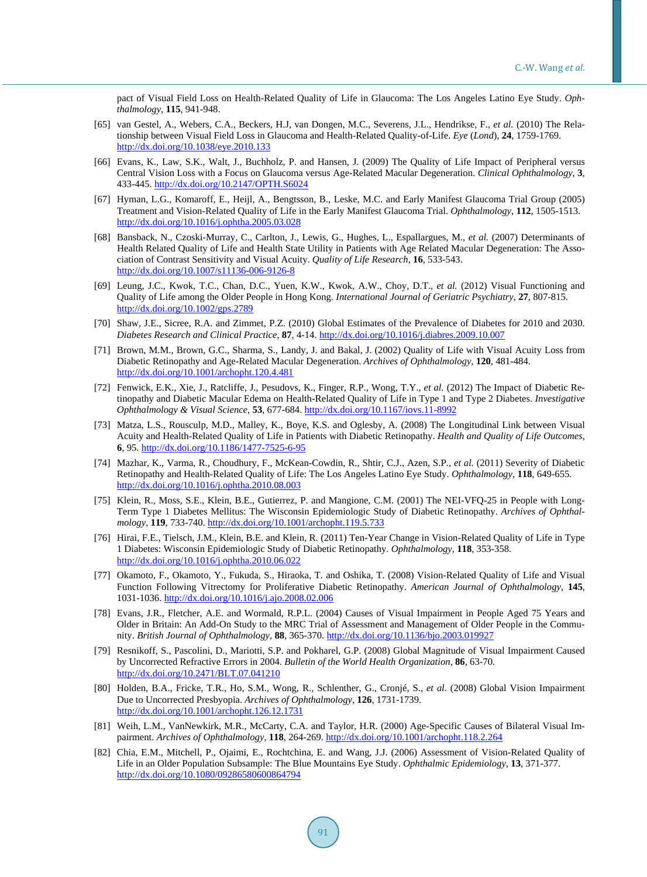pact of Visual Field Loss on Health-Related Quality of Life in Glaucoma: The Los Angeles Latino Eye Study. *Ophthalmology*, **115**, 941-948.

- <span id="page-12-0"></span>[65] van Gestel, A., Webers, C.A., Beckers, H.J, van Dongen, M.C., Severens, J.L., Hendrikse, F., *et al.* (2010) The Relationship between Visual Field Loss in Glaucoma and Health-Related Quality-of-Life. *Eye* (*Lond*), **24**, 1759-1769. <http://dx.doi.org/10.1038/eye.2010.133>
- <span id="page-12-1"></span>[66] Evans, K., Law, S.K., Walt, J., Buchholz, P. and Hansen, J. (2009) The Quality of Life Impact of Peripheral versus Central Vision Loss with a Focus on Glaucoma versus Age-Related Macular Degeneration. *Clinical Ophthalmology*, **3**, 433-445. <http://dx.doi.org/10.2147/OPTH.S6024>
- <span id="page-12-2"></span>[67] Hyman, L.G., Komaroff, E., Heijl, A., Bengtsson, B., Leske, M.C. and Early Manifest Glaucoma Trial Group (2005) Treatment and Vision-Related Quality of Life in the Early Manifest Glaucoma Trial. *Ophthalmology*, **112**, 1505-1513. <http://dx.doi.org/10.1016/j.ophtha.2005.03.028>
- <span id="page-12-3"></span>[68] Bansback, N., Czoski-Murray, C., Carlton, J., Lewis, G., Hughes, L., Espallargues, M., *et al.* (2007) Determinants of Health Related Quality of Life and Health State Utility in Patients with Age Related Macular Degeneration: The Association of Contrast Sensitivity and Visual Acuity. *Quality of Life Research*, **16**, 533-543. <http://dx.doi.org/10.1007/s11136-006-9126-8>
- <span id="page-12-4"></span>[69] Leung, J.C., Kwok, T.C., Chan, D.C., Yuen, K.W., Kwok, A.W., Choy, D.T., *et al.* (2012) Visual Functioning and Quality of Life among the Older People in Hong Kong. *International Journal of Geriatric Psychiatry*, **27**, 807-815. <http://dx.doi.org/10.1002/gps.2789>
- <span id="page-12-5"></span>[70] Shaw, J.E., Sicree, R.A. and Zimmet, P.Z. (2010) Global Estimates of the Prevalence of Diabetes for 2010 and 2030. *Diabetes Research and Clinical Practice*, **87**, 4-14. <http://dx.doi.org/10.1016/j.diabres.2009.10.007>
- <span id="page-12-6"></span>[71] Brown, M.M., Brown, G.C., Sharma, S., Landy, J. and Bakal, J. (2002) Quality of Life with Visual Acuity Loss from Diabetic Retinopathy and Age-Related Macular Degeneration. *Archives of Ophthalmology*, **120**, 481-484. <http://dx.doi.org/10.1001/archopht.120.4.481>
- [72] Fenwick, E.K., Xie, J., Ratcliffe, J., Pesudovs, K., Finger, R.P., Wong, T.Y., *et al.* (2012) The Impact of Diabetic Retinopathy and Diabetic Macular Edema on Health-Related Quality of Life in Type 1 and Type 2 Diabetes. *Investigative Ophthalmology & Visual Science*, **53**, 677-684. <http://dx.doi.org/10.1167/iovs.11-8992>
- <span id="page-12-7"></span>[73] Matza, L.S., Rousculp, M.D., Malley, K., Boye, K.S. and Oglesby, A. (2008) The Longitudinal Link between Visual Acuity and Health-Related Quality of Life in Patients with Diabetic Retinopathy. *Health and Quality of Life Outcomes*, **6**, 95. <http://dx.doi.org/10.1186/1477-7525-6-95>
- <span id="page-12-8"></span>[74] Mazhar, K., Varma, R., Choudhury, F., McKean-Cowdin, R., Shtir, C.J., Azen, S.P., *et al.* (2011) Severity of Diabetic Retinopathy and Health-Related Quality of Life: The Los Angeles Latino Eye Study. *Ophthalmology*, **118**, 649-655. <http://dx.doi.org/10.1016/j.ophtha.2010.08.003>
- <span id="page-12-9"></span>[75] Klein, R., Moss, S.E., Klein, B.E., Gutierrez, P. and Mangione, C.M. (2001) The NEI-VFQ-25 in People with Long-Term Type 1 Diabetes Mellitus: The Wisconsin Epidemiologic Study of Diabetic Retinopathy. *Archives of Ophthalmology*, **119**, 733-740. <http://dx.doi.org/10.1001/archopht.119.5.733>
- <span id="page-12-10"></span>[76] Hirai, F.E., Tielsch, J.M., Klein, B.E. and Klein, R. (2011) Ten-Year Change in Vision-Related Quality of Life in Type 1 Diabetes: Wisconsin Epidemiologic Study of Diabetic Retinopathy. *Ophthalmology*, **118**, 353-358. <http://dx.doi.org/10.1016/j.ophtha.2010.06.022>
- <span id="page-12-11"></span>[77] Okamoto, F., Okamoto, Y., Fukuda, S., Hiraoka, T. and Oshika, T. (2008) Vision-Related Quality of Life and Visual Function Following Vitrectomy for Proliferative Diabetic Retinopathy. *American Journal of Ophthalmology*, **145**, 1031-1036. <http://dx.doi.org/10.1016/j.ajo.2008.02.006>
- <span id="page-12-12"></span>[78] Evans, J.R., Fletcher, A.E. and Wormald, R.P.L. (2004) Causes of Visual Impairment in People Aged 75 Years and Older in Britain: An Add-On Study to the MRC Trial of Assessment and Management of Older People in the Community. *British Journal of Ophthalmology*, **88**, 365-370. <http://dx.doi.org/10.1136/bjo.2003.019927>
- <span id="page-12-13"></span>[79] Resnikoff, S., Pascolini, D., Mariotti, S.P. and Pokharel, G.P. (2008) Global Magnitude of Visual Impairment Caused by Uncorrected Refractive Errors in 2004. *Bulletin of the World Health Organization*, **86**, 63-70. <http://dx.doi.org/10.2471/BLT.07.041210>
- <span id="page-12-14"></span>[80] Holden, B.A., Fricke, T.R., Ho, S.M., Wong, R., Schlenther, G., Cronjé, S., *et al.* (2008) Global Vision Impairment Due to Uncorrected Presbyopia. *Archives of Ophthalmology*, **126**, 1731-1739. <http://dx.doi.org/10.1001/archopht.126.12.1731>
- <span id="page-12-15"></span>[81] Weih, L.M., VanNewkirk, M.R., McCarty, C.A. and Taylor, H.R. (2000) Age-Specific Causes of Bilateral Visual Impairment. *Archives of Ophthalmology*, **118**, 264-269. <http://dx.doi.org/10.1001/archopht.118.2.264>
- <span id="page-12-16"></span>[82] Chia, E.M., Mitchell, P., Ojaimi, E., Rochtchina, E. and Wang, J.J. (2006) Assessment of Vision-Related Quality of Life in an Older Population Subsample: The Blue Mountains Eye Study. *Ophthalmic Epidemiology*, **13**, 371-377. <http://dx.doi.org/10.1080/09286580600864794>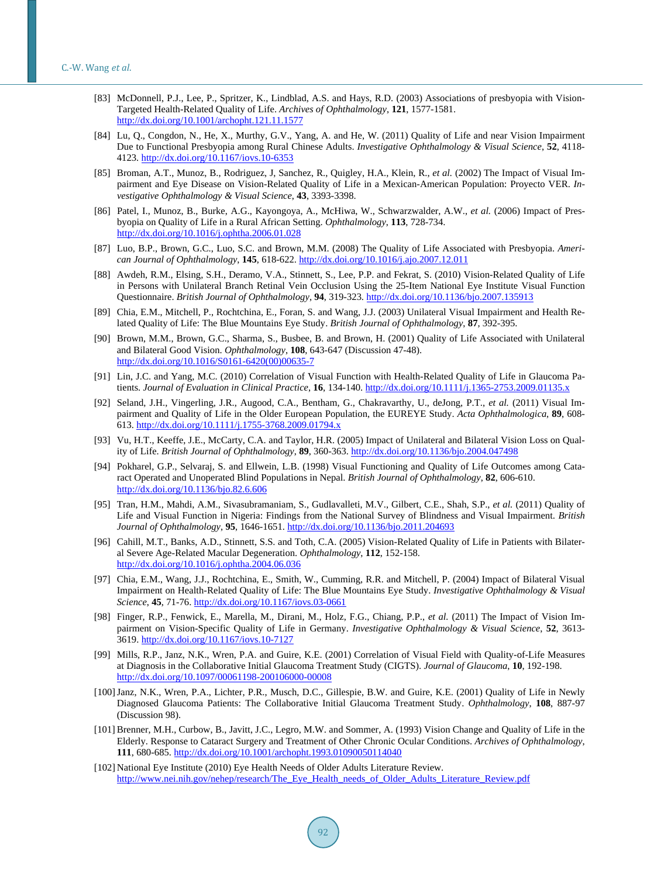- <span id="page-13-0"></span>[83] McDonnell, P.J., Lee, P., Spritzer, K., Lindblad, A.S. and Hays, R.D. (2003) Associations of presbyopia with Vision-Targeted Health-Related Quality of Life. *Archives of Ophthalmology*, **121**, 1577-1581. <http://dx.doi.org/10.1001/archopht.121.11.1577>
- <span id="page-13-1"></span>[84] Lu, Q., Congdon, N., He, X., Murthy, G.V., Yang, A. and He, W. (2011) Quality of Life and near Vision Impairment Due to Functional Presbyopia among Rural Chinese Adults. *Investigative Ophthalmology & Visual Science*, **52**, 4118- 4123. <http://dx.doi.org/10.1167/iovs.10-6353>
- <span id="page-13-2"></span>[85] Broman, A.T., Munoz, B., Rodriguez, J, Sanchez, R., Quigley, H.A., Klein, R., *et al.* (2002) The Impact of Visual Impairment and Eye Disease on Vision-Related Quality of Life in a Mexican-American Population: Proyecto VER. *Investigative Ophthalmology & Visual Science*, **43**, 3393-3398.
- <span id="page-13-3"></span>[86] Patel, I., Munoz, B., Burke, A.G., Kayongoya, A., McHiwa, W., Schwarzwalder, A.W., *et al.* (2006) Impact of Presbyopia on Quality of Life in a Rural African Setting. *Ophthalmology*, **113**, 728-734. <http://dx.doi.org/10.1016/j.ophtha.2006.01.028>
- <span id="page-13-4"></span>[87] Luo, B.P., Brown, G.C., Luo, S.C. and Brown, M.M. (2008) The Quality of Life Associated with Presbyopia. *American Journal of Ophthalmology*, **145**, 618-622. <http://dx.doi.org/10.1016/j.ajo.2007.12.011>
- <span id="page-13-5"></span>[88] Awdeh, R.M., Elsing, S.H., Deramo, V.A., Stinnett, S., Lee, P.P. and Fekrat, S. (2010) Vision-Related Quality of Life in Persons with Unilateral Branch Retinal Vein Occlusion Using the 25-Item National Eye Institute Visual Function Questionnaire. *British Journal of Ophthalmology*, **94**, 319-323. <http://dx.doi.org/10.1136/bjo.2007.135913>
- <span id="page-13-7"></span>[89] Chia, E.M., Mitchell, P., Rochtchina, E., Foran, S. and Wang, J.J. (2003) Unilateral Visual Impairment and Health Related Quality of Life: The Blue Mountains Eye Study. *British Journal of Ophthalmology*, **87**, 392-395.
- <span id="page-13-6"></span>[90] Brown, M.M., Brown, G.C., Sharma, S., Busbee, B. and Brown, H. (2001) Quality of Life Associated with Unilateral and Bilateral Good Vision. *Ophthalmology*, **108**, 643-647 (Discussion 47-48). [http://dx.doi.org/10.1016/S0161-6420\(00\)00635-7](http://dx.doi.org/10.1016/S0161-6420(00)00635-7)
- <span id="page-13-8"></span>[91] Lin, J.C. and Yang, M.C. (2010) Correlation of Visual Function with Health-Related Quality of Life in Glaucoma Patients. *Journal of Evaluation in Clinical Practice*, **16**, 134-140. <http://dx.doi.org/10.1111/j.1365-2753.2009.01135.x>
- <span id="page-13-9"></span>[92] Seland, J.H., Vingerling, J.R., Augood, C.A., Bentham, G., Chakravarthy, U., deJong, P.T., *et al.* (2011) Visual Impairment and Quality of Life in the Older European Population, the EUREYE Study. *Acta Ophthalmologica*, **89**, 608- 613. <http://dx.doi.org/10.1111/j.1755-3768.2009.01794.x>
- <span id="page-13-10"></span>[93] Vu, H.T., Keeffe, J.E., McCarty, C.A. and Taylor, H.R. (2005) Impact of Unilateral and Bilateral Vision Loss on Quality of Life. *British Journal of Ophthalmology*, **89**, 360-363. <http://dx.doi.org/10.1136/bjo.2004.047498>
- <span id="page-13-11"></span>[94] Pokharel, G.P., Selvaraj, S. and Ellwein, L.B. (1998) Visual Functioning and Quality of Life Outcomes among Cataract Operated and Unoperated Blind Populations in Nepal. *British Journal of Ophthalmology*, **82**, 606-610. <http://dx.doi.org/10.1136/bjo.82.6.606>
- <span id="page-13-12"></span>[95] Tran, H.M., Mahdi, A.M., Sivasubramaniam, S., Gudlavalleti, M.V., Gilbert, C.E., Shah, S.P., *et al.* (2011) Quality of Life and Visual Function in Nigeria: Findings from the National Survey of Blindness and Visual Impairment. *British Journal of Ophthalmology*, **95**, 1646-1651. <http://dx.doi.org/10.1136/bjo.2011.204693>
- <span id="page-13-13"></span>[96] Cahill, M.T., Banks, A.D., Stinnett, S.S. and Toth, C.A. (2005) Vision-Related Quality of Life in Patients with Bilateral Severe Age-Related Macular Degeneration. *Ophthalmology*, **112**, 152-158. <http://dx.doi.org/10.1016/j.ophtha.2004.06.036>
- <span id="page-13-14"></span>[97] Chia, E.M., Wang, J.J., Rochtchina, E., Smith, W., Cumming, R.R. and Mitchell, P. (2004) Impact of Bilateral Visual Impairment on Health-Related Quality of Life: The Blue Mountains Eye Study. *Investigative Ophthalmology & Visual Science*, **45**, 71-76. <http://dx.doi.org/10.1167/iovs.03-0661>
- <span id="page-13-15"></span>[98] Finger, R.P., Fenwick, E., Marella, M., Dirani, M., Holz, F.G., Chiang, P.P., *et al.* (2011) The Impact of Vision Impairment on Vision-Specific Quality of Life in Germany. *Investigative Ophthalmology & Visual Science*, **52**, 3613- 3619. <http://dx.doi.org/10.1167/iovs.10-7127>
- <span id="page-13-16"></span>[99] Mills, R.P., Janz, N.K., Wren, P.A. and Guire, K.E. (2001) Correlation of Visual Field with Quality-of-Life Measures at Diagnosis in the Collaborative Initial Glaucoma Treatment Study (CIGTS). *Journal of Glaucoma*, **10**, 192-198. <http://dx.doi.org/10.1097/00061198-200106000-00008>
- <span id="page-13-17"></span>[100]Janz, N.K., Wren, P.A., Lichter, P.R., Musch, D.C., Gillespie, B.W. and Guire, K.E. (2001) Quality of Life in Newly Diagnosed Glaucoma Patients: The Collaborative Initial Glaucoma Treatment Study. *Ophthalmology*, **108**, 887-97 (Discussion 98).
- <span id="page-13-18"></span>[101] Brenner, M.H., Curbow, B., Javitt, J.C., Legro, M.W. and Sommer, A. (1993) Vision Change and Quality of Life in the Elderly. Response to Cataract Surgery and Treatment of Other Chronic Ocular Conditions. *Archives of Ophthalmology*, **111**, 680-685. <http://dx.doi.org/10.1001/archopht.1993.01090050114040>
- <span id="page-13-19"></span>[102] National Eye Institute (2010) Eye Health Needs of Older Adults Literature Review. [http://www.nei.nih.gov/nehep/research/The\\_Eye\\_Health\\_needs\\_of\\_Older\\_Adults\\_Literature\\_Review.pdf](http://www.nei.nih.gov/nehep/research/The_Eye_Health_needs_of_Older_Adults_Literature_Review.pdf)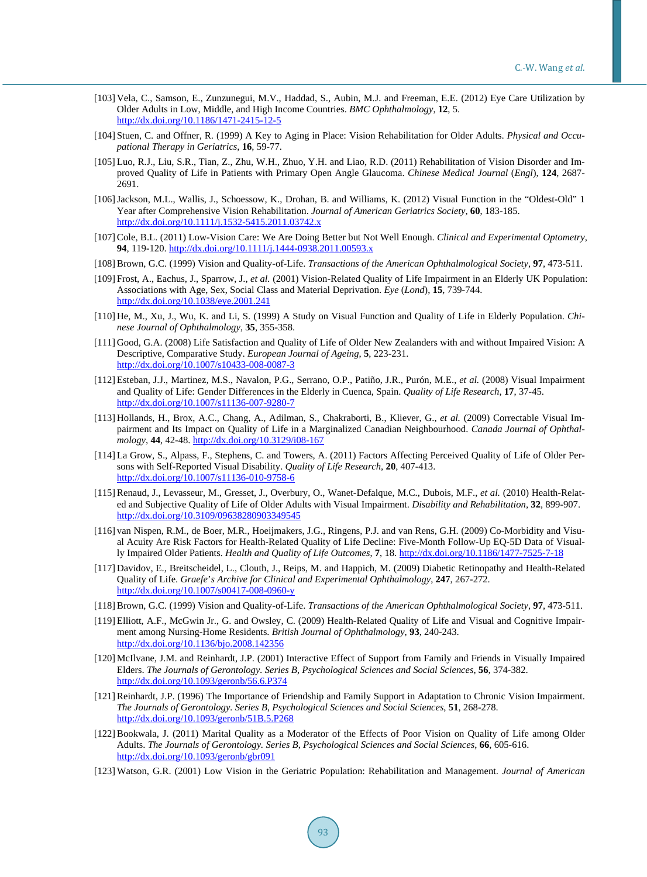- <span id="page-14-0"></span>[103] Vela, C., Samson, E., Zunzunegui, M.V., Haddad, S., Aubin, M.J. and Freeman, E.E. (2012) Eye Care Utilization by Older Adults in Low, Middle, and High Income Countries. *BMC Ophthalmology*, **12**, 5. <http://dx.doi.org/10.1186/1471-2415-12-5>
- <span id="page-14-1"></span>[104] Stuen, C. and Offner, R. (1999) A Key to Aging in Place: Vision Rehabilitation for Older Adults. *Physical and Occupational Therapy in Geriatrics*, **16**, 59-77.
- <span id="page-14-2"></span>[105] Luo, R.J., Liu, S.R., Tian, Z., Zhu, W.H., Zhuo, Y.H. and Liao, R.D. (2011) Rehabilitation of Vision Disorder and Improved Quality of Life in Patients with Primary Open Angle Glaucoma. *Chinese Medical Journal* (*Engl*), **124**, 2687- 2691.
- <span id="page-14-3"></span>[106]Jackson, M.L., Wallis, J., Schoessow, K., Drohan, B. and Williams, K. (2012) Visual Function in the "Oldest-Old" 1 Year after Comprehensive Vision Rehabilitation. *Journal of American Geriatrics Society*, **60**, 183-185. <http://dx.doi.org/10.1111/j.1532-5415.2011.03742.x>
- <span id="page-14-4"></span>[107] Cole, B.L. (2011) Low-Vision Care: We Are Doing Better but Not Well Enough. *Clinical and Experimental Optometry*, **94**, 119-120. <http://dx.doi.org/10.1111/j.1444-0938.2011.00593.x>
- <span id="page-14-5"></span>[108] Brown, G.C. (1999) Vision and Quality-of-Life. *Transactions of the American Ophthalmological Society*, **97**, 473-511.
- <span id="page-14-6"></span>[109] Frost, A., Eachus, J., Sparrow, J., *et al.* (2001) Vision-Related Quality of Life Impairment in an Elderly UK Population: Associations with Age, Sex, Social Class and Material Deprivation. *Eye* (*Lond*), **15**, 739-744. <http://dx.doi.org/10.1038/eye.2001.241>
- <span id="page-14-7"></span>[110] He, M., Xu, J., Wu, K. and Li, S. (1999) A Study on Visual Function and Quality of Life in Elderly Population. *Chinese Journal of Ophthalmology*, **35**, 355-358.
- <span id="page-14-8"></span>[111] Good, G.A. (2008) Life Satisfaction and Quality of Life of Older New Zealanders with and without Impaired Vision: A Descriptive, Comparative Study. *European Journal of Ageing*, **5**, 223-231. <http://dx.doi.org/10.1007/s10433-008-0087-3>
- <span id="page-14-9"></span>[112] Esteban, J.J., Martinez, M.S., Navalon, P.G., Serrano, O.P., Patiño, J.R., Purón, M.E., *et al.* (2008) Visual Impairment and Quality of Life: Gender Differences in the Elderly in Cuenca, Spain. *Quality of Life Research*, **17**, 37-45. <http://dx.doi.org/10.1007/s11136-007-9280-7>
- <span id="page-14-10"></span>[113] Hollands, H., Brox, A.C., Chang, A., Adilman, S., Chakraborti, B., Kliever, G., *et al.* (2009) Correctable Visual Impairment and Its Impact on Quality of Life in a Marginalized Canadian Neighbourhood. *Canada Journal of Ophthalmology*, **44**, 42-48. <http://dx.doi.org/10.3129/i08-167>
- <span id="page-14-11"></span>[114] La Grow, S., Alpass, F., Stephens, C. and Towers, A. (2011) Factors Affecting Perceived Quality of Life of Older Persons with Self-Reported Visual Disability. *Quality of Life Research*, **20**, 407-413. <http://dx.doi.org/10.1007/s11136-010-9758-6>
- <span id="page-14-12"></span>[115] Renaud, J., Levasseur, M., Gresset, J., Overbury, O., Wanet-Defalque, M.C., Dubois, M.F., *et al.* (2010) Health-Related and Subjective Quality of Life of Older Adults with Visual Impairment. *Disability and Rehabilitation*, **32**, 899-907. <http://dx.doi.org/10.3109/09638280903349545>
- <span id="page-14-13"></span>[116] van Nispen, R.M., de Boer, M.R., Hoeijmakers, J.G., Ringens, P.J. and van Rens, G.H. (2009) Co-Morbidity and Visual Acuity Are Risk Factors for Health-Related Quality of Life Decline: Five-Month Follow-Up EQ-5D Data of Visually Impaired Older Patients. *Health and Quality of Life Outcomes*, **7**, 18. <http://dx.doi.org/10.1186/1477-7525-7-18>
- <span id="page-14-14"></span>[117] Davidov, E., Breitscheidel, L., Clouth, J., Reips, M. and Happich, M. (2009) Diabetic Retinopathy and Health-Related Quality of Life. *Graefe*'*s Archive for Clinical and Experimental Ophthalmology*, **247**, 267-272. <http://dx.doi.org/10.1007/s00417-008-0960-y>
- <span id="page-14-15"></span>[118] Brown, G.C. (1999) Vision and Quality-of-Life. *Transactions of the American Ophthalmological Society*, **97**, 473-511.
- <span id="page-14-16"></span>[119] Elliott, A.F., McGwin Jr., G. and Owsley, C. (2009) Health-Related Quality of Life and Visual and Cognitive Impairment among Nursing-Home Residents. *British Journal of Ophthalmology*, **93**, 240-243. <http://dx.doi.org/10.1136/bjo.2008.142356>
- <span id="page-14-17"></span>[120] McIlvane, J.M. and Reinhardt, J.P. (2001) Interactive Effect of Support from Family and Friends in Visually Impaired Elders. *The Journals of Gerontology. Series B*, *Psychological Sciences and Social Sciences*, **56**, 374-382. <http://dx.doi.org/10.1093/geronb/56.6.P374>
- <span id="page-14-18"></span>[121] Reinhardt, J.P. (1996) The Importance of Friendship and Family Support in Adaptation to Chronic Vision Impairment. *The Journals of Gerontology. Series B*, *Psychological Sciences and Social Sciences*, **51**, 268-278. <http://dx.doi.org/10.1093/geronb/51B.5.P268>
- <span id="page-14-19"></span>[122] Bookwala, J. (2011) Marital Quality as a Moderator of the Effects of Poor Vision on Quality of Life among Older Adults. *The Journals of Gerontology. Series B*, *Psychological Sciences and Social Sciences*, **66**, 605-616. <http://dx.doi.org/10.1093/geronb/gbr091>
- <span id="page-14-20"></span>[123] Watson, G.R. (2001) Low Vision in the Geriatric Population: Rehabilitation and Management. *Journal of American*